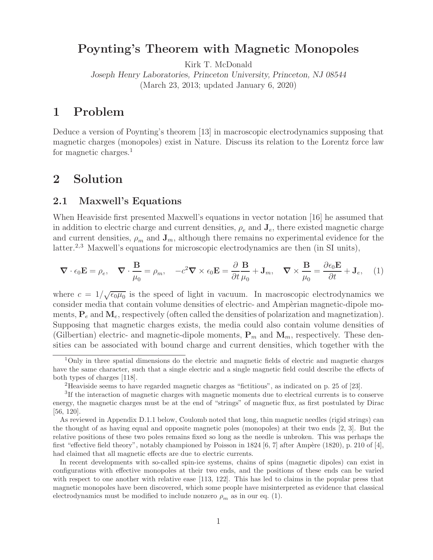# **Poynting's Theorem with Magnetic Monopoles**

Kirk T. McDonald

*Joseph Henry Laboratories, Princeton University, Princeton, NJ 08544* (March 23, 2013; updated January 6, 2020)

# **1 Problem**

Deduce a version of Poynting's theorem [13] in macroscopic electrodynamics supposing that magnetic charges (monopoles) exist in Nature. Discuss its relation to the Lorentz force law for magnetic charges.<sup>1</sup>

# **2 Solution**

## **2.1 Maxwell's Equations**

When Heaviside first presented Maxwell's equations in vector notation [16] he assumed that in addition to electric charge and current densities,  $\rho_e$  and  $\mathbf{J}_e$ , there existed magnetic charge and current densities,  $\rho_m$  and  $\mathbf{J}_m$ , although there remains no experimental evidence for the latter.<sup>2,3</sup> Maxwell's equations for microscopic electrodynamics are then (in SI units),

$$
\nabla \cdot \epsilon_0 \mathbf{E} = \rho_e, \quad \nabla \cdot \frac{\mathbf{B}}{\mu_0} = \rho_m, \quad -c^2 \nabla \times \epsilon_0 \mathbf{E} = \frac{\partial}{\partial t} \frac{\mathbf{B}}{\mu_0} + \mathbf{J}_m, \quad \nabla \times \frac{\mathbf{B}}{\mu_0} = \frac{\partial \epsilon_0 \mathbf{E}}{\partial t} + \mathbf{J}_e, \quad (1)
$$

where  $c = 1/\sqrt{\epsilon_0\mu_0}$  is the speed of light in vacuum. In macroscopic electrodynamics we consider media that contain volume densities of electric- and Ampèrian magnetic-dipole moments,  $P_e$  and  $M_e$ , respectively (often called the densities of polarization and magnetization). Supposing that magnetic charges exists, the media could also contain volume densities of (Gilbertian) electric- and magnetic-dipole moments,  $P_m$  and  $M_m$ , respectively. These densities can be associated with bound charge and current densities, which together with the

<sup>1</sup>Only in three spatial dimensions do the electric and magnetic fields of electric and magnetic charges have the same character, such that a single electric and a single magnetic field could describe the effects of both types of charges [118].

<sup>2</sup>Heaviside seems to have regarded magnetic charges as "fictitious", as indicated on p. 25 of [23].

<sup>3</sup>If the interaction of magnetic charges with magnetic moments due to electrical currents is to conserve energy, the magnetic charges must be at the end of "strings" of magnetic flux, as first postulated by Dirac [56, 120].

As reviewed in Appendix D.1.1 below, Coulomb noted that long, thin magnetic needles (rigid strings) can the thought of as having equal and opposite magnetic poles (monopoles) at their two ends [2, 3]. But the relative positions of these two poles remains fixed so long as the needle is unbroken. This was perhaps the first "effective field theory", notably championed by Poisson in 1824 [6, 7] after Ampère (1820), p. 210 of [4], had claimed that all magnetic effects are due to electric currents.

In recent developments with so-called spin-ice systems, chains of spins (magnetic dipoles) can exist in configurations with effective monopoles at their two ends, and the positions of these ends can be varied with respect to one another with relative ease [113, 122]. This has led to claims in the popular press that magnetic monopoles have been discovered, which some people have misinterpreted as evidence that classical electrodynamics must be modified to include nonzero  $\rho_m$  as in our eq. (1).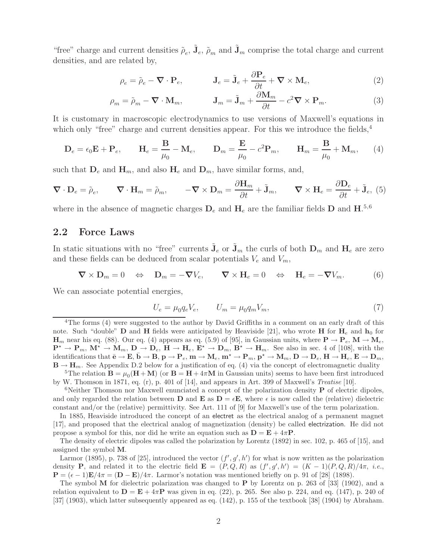"free" charge and current densities  $\tilde{\rho}_e$ ,  $\tilde{\mathbf{J}}_e$ ,  $\tilde{\rho}_m$  and  $\tilde{\mathbf{J}}_m$  comprise the total charge and current densities, and are related by,

$$
\rho_e = \tilde{\rho}_e - \nabla \cdot \mathbf{P}_e, \qquad \qquad \mathbf{J}_e = \tilde{\mathbf{J}}_e + \frac{\partial \mathbf{P}_e}{\partial t} + \nabla \times \mathbf{M}_e,\tag{2}
$$

$$
\rho_m = \tilde{\rho}_m - \mathbf{\nabla} \cdot \mathbf{M}_m, \qquad \mathbf{J}_m = \tilde{\mathbf{J}}_m + \frac{\partial \mathbf{M}_m}{\partial t} - c^2 \mathbf{\nabla} \times \mathbf{P}_m. \tag{3}
$$

It is customary in macroscopic electrodynamics to use versions of Maxwell's equations in which only "free" charge and current densities appear. For this we introduce the fields,  $4$ 

$$
\mathbf{D}_e = \epsilon_0 \mathbf{E} + \mathbf{P}_e, \qquad \mathbf{H}_e = \frac{\mathbf{B}}{\mu_0} - \mathbf{M}_e, \qquad \mathbf{D}_m = \frac{\mathbf{E}}{\mu_0} - c^2 \mathbf{P}_m, \qquad \mathbf{H}_m = \frac{\mathbf{B}}{\mu_0} + \mathbf{M}_m, \tag{4}
$$

such that  $D_e$  and  $H_m$ , and also  $H_e$  and  $D_m$ , have similar forms, and,

$$
\nabla \cdot \mathbf{D}_e = \tilde{\rho}_e, \qquad \nabla \cdot \mathbf{H}_m = \tilde{\rho}_m, \qquad -\nabla \times \mathbf{D}_m = \frac{\partial \mathbf{H}_m}{\partial t} + \tilde{\mathbf{J}}_m, \qquad \nabla \times \mathbf{H}_e = \frac{\partial \mathbf{D}_e}{\partial t} + \tilde{\mathbf{J}}_e, (5)
$$

where in the absence of magnetic charges  $D_e$  and  $H_e$  are the familiar fields  $D$  and  $H^{0.5,6}$ .

## **2.2 Force Laws**

In static situations with no "free" currents  $J_e$  or  $J_m$  the curls of both  $D_m$  and  $H_e$  are zero and these fields can be deduced from scalar potentials  $V_e$  and  $V_m$ ,

$$
\nabla \times \mathbf{D}_m = 0 \quad \Leftrightarrow \quad \mathbf{D}_m = -\nabla V_e, \qquad \nabla \times \mathbf{H}_e = 0 \quad \Leftrightarrow \quad \mathbf{H}_e = -\nabla V_m. \tag{6}
$$

We can associate potential energies,

$$
U_e = \mu_0 q_e V_e, \qquad U_m = \mu_0 q_m V_m,\tag{7}
$$

<sup>4</sup>The forms (4) were suggested to the author by David Griffiths in a comment on an early draft of this note. Such "double" **D** and **H** fields were anticipated by Heaviside [21], who wrote **H** for  $H_e$  and  $h_0$  for **H**<sub>m</sub> near his eq. (88). Our eq. (4) appears as eq. (5.9) of [95], in Gaussian units, where  $P \rightarrow P_e$ ,  $M \rightarrow M_e$ ,  $\mathbf{P}^* \to \mathbf{P}_m$ ,  $\mathbf{M}^* \to \mathbf{M}_m$ ,  $\mathbf{D} \to \mathbf{D}_e$ ,  $\mathbf{H} \to \mathbf{H}_e$ ,  $\mathbf{E}^* \to \mathbf{D}_m$ ,  $\mathbf{B}^* \to \mathbf{H}_m$ . See also in sec. 4 of [108], with the  $\mathbf{E} \cdot \mathbf{E} = \mathbf{E} \cdot \mathbf{E} + \mathbf{E} \cdot \mathbf{E} + \mathbf{E} \cdot \mathbf{E} + \mathbf{E} \cdot \mathbf{E} + \mathbf{E} \cdot \mathbf{E} + \mathbf{E} \cdot \mathbf{E} + \mathbf{E} \cdot \mathbf{E} + \mathbf{E} \cdot \mathbf{E} \cdot \mathbf{E} + \mathbf{E} \cdot \mathbf{E} \cdot \mathbf{E} + \mathbf{E} \cdot \mathbf{E} \cdot \mathbf{E} \cdot \mathbf{E} + \mathbf{E} \cdot \mathbf{E} \cdot \mathbf{E} \$  $\mathbf{B} \to \mathbf{H}_m$ . See Appendix D.2 below for a justification of eq. (4) via the concept of electromagnetic duality

<sup>5</sup>The relation  $\mathbf{B} = \mu_0(\mathbf{H} + \mathbf{M})$  (or  $\mathbf{B} = \mathbf{H} + 4\pi\mathbf{M}$  in Gaussian units) seems to have been first introduced by W. Thomson in 1871, eq. (r), p. 401 of [14], and appears in Art. 399 of Maxwell's *Treatise* [10].

<sup>6</sup>Neither Thomson nor Maxwell enunciated a concept of the polarization density  $P$  of electric dipoles, and only regarded the relation between **D** and **E** as  $D = \epsilon E$ , where  $\epsilon$  is now called the (relative) dielectric constant and/or the (relative) permittivity. See Art. 111 of [9] for Maxwell's use of the term polarization.

In 1885, Heaviside introduced the concept of an electret as the electrical analog of a permanent magnet [17], and proposed that the electrical analog of magnetization (density) be called electrization. He did not propose a symbol for this, nor did he write an equation such as  $\mathbf{D} = \mathbf{E} + 4\pi \mathbf{P}$ .

The density of electric dipoles was called the polarization by Lorentz (1892) in sec. 102, p. 465 of [15], and assigned the symbol **M**.

Larmor (1895), p. 738 of [25], introduced the vector  $(f', g', h')$  for what is now written as the polarization<br>psity **P** and related it to the electric field **E** =  $(P \cap R)$  as  $(f', g', h') = (K - 1)(P \cap R)/4\pi$  i.e. density **P**, and related it to the electric field  $\mathbf{E} = (P, Q, R)$  as  $(f', g', h') = (K - 1)(P, Q, R)/4\pi$ , *i.e.*,  $\mathbf{P} - (\epsilon - 1)\mathbf{E}/4\pi - (\mathbf{D} - \mathbf{E})/4\pi$ . Larmor's notation was mentioned briefly on p. 91 of [28] (1898) **P** =  $(\epsilon - 1)\mathbf{E}/4\pi = (\mathbf{D} - \mathbf{E})/4\pi$ . Larmor's notation was mentioned briefly on p. 91 of [28] (1898).

The symbol **M** for dielectric polarization was changed to **P** by Lorentz on p. 263 of [33] (1902), and a relation equivalent to  $D = E + 4\pi P$  was given in eq. (22), p. 265. See also p. 224, and eq. (147), p. 240 of [37] (1903), which latter subsequently appeared as eq. (142), p. 155 of the textbook [38] (1904) by Abraham.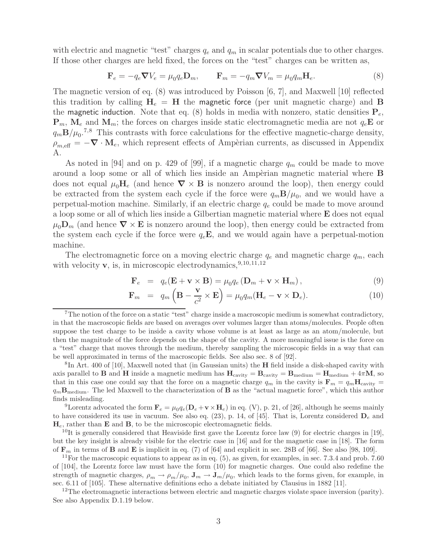with electric and magnetic "test" charges  $q_e$  and  $q_m$  in scalar potentials due to other charges. If those other charges are held fixed, the forces on the "test" charges can be written as,

$$
\mathbf{F}_e = -q_e \nabla V_e = \mu_0 q_e \mathbf{D}_m, \qquad \mathbf{F}_m = -q_m \nabla V_m = \mu_0 q_m \mathbf{H}_e. \tag{8}
$$

The magnetic version of eq. (8) was introduced by Poisson [6, 7], and Maxwell [10] reflected this tradition by calling  $H_e = H$  the magnetic force (per unit magnetic charge) and **B** the **magnetic induction**. Note that eq. (8) holds in media with nonzero, static densities  $P_e$ ,  $\mathbf{P}_m$ ,  $\mathbf{M}_e$  and  $\mathbf{M}_m$ ; the forces on charges inside static electromagnetic media are not  $q_e\mathbf{E}$  or  $q_m \mathbf{B}/\mu_0$ <sup>7,8</sup> This contrasts with force calculations for the effective magnetic-charge density,  $\rho_{m,eff} = -\nabla \cdot \mathbf{M}_e$ , which represent effects of Ampèrian currents, as discussed in Appendix A.

As noted in [94] and on p. 429 of [99], if a magnetic charge  $q_m$  could be made to move around a loop some or all of which lies inside an Ampèrian magnetic material where **B** does not equal  $\mu_0 \mathbf{H}_e$  (and hence  $\nabla \times \mathbf{B}$  is nonzero around the loop), then energy could be extracted from the system each cycle if the force were  $q_m \mathbf{B}/\mu_0$ , and we would have a perpetual-motion machine. Similarly, if an electric charge  $q_e$  could be made to move around a loop some or all of which lies inside a Gilbertian magnetic material where **E** does not equal  $\mu_0 \mathbf{D}_m$  (and hence  $\nabla \times \mathbf{E}$  is nonzero around the loop), then energy could be extracted from the system each cycle if the force were  $q_e$ **E**, and we would again have a perpetual-motion machine.

The electromagnetic force on a moving electric charge  $q_e$  and magnetic charge  $q_m$ , each with velocity **v**, is, in microscopic electrodynamics,  $9,10,11,12$ 

$$
\mathbf{F}_e = q_e(\mathbf{E} + \mathbf{v} \times \mathbf{B}) = \mu_0 q_e(\mathbf{D}_m + \mathbf{v} \times \mathbf{H}_m), \qquad (9)
$$

$$
\mathbf{F}_m = q_m \left( \mathbf{B} - \frac{\mathbf{v}}{c^2} \times \mathbf{E} \right) = \mu_0 q_m (\mathbf{H}_e - \mathbf{v} \times \mathbf{D}_e).
$$
 (10)

<sup>8</sup>In Art. 400 of [10], Maxwell noted that (in Gaussian units) the **H** field inside a disk-shaped cavity with axis parallel to **B** and **H** inside a magnetic medium has  $H_{\text{cavity}} = B_{\text{cavity}} = B_{\text{medium}} = H_{\text{medium}} + 4\pi M$ , so that in this case one could say that the force on a magnetic charge  $q_m$  in the cavity is  $\mathbf{F}_m = q_m \mathbf{H}_{\text{cavity}} =$ <sup>q</sup><sup>m</sup>**B**medium. The led Maxwell to the characterization of **<sup>B</sup>** as the "actual magnetic force", which this author finds misleading.

<sup>9</sup>Lorentz advocated the form  $\mathbf{F}_e = \mu_0 q_e (\mathbf{D}_e + \mathbf{v} \times \mathbf{H}_e)$  in eq. (V), p. 21, of [26], although he seems mainly to have considered its use in vacuum. See also eq.  $(23)$ , p. 14, of [45]. That is, Lorentz considered  $D_e$  and **H**e, rather than **E** and **B**, to be the microscopic electromagnetic fields.

<sup>10</sup>It is generally considered that Heaviside first gave the Lorentz force law  $(9)$  for electric charges in [19], but the key insight is already visible for the electric case in [16] and for the magnetic case in [18]. The form of  $\mathbf{F}_m$  in terms of **B** and **E** is implicit in eq. (7) of [64] and explicit in sec. 28B of [66]. See also [98, 109].

 $11$ For the macroscopic equations to appear as in eq.  $(5)$ , as given, for examples, in sec. 7.3.4 and prob. 7.60 of [104], the Lorentz force law must have the form (10) for magnetic charges. One could also redefine the strength of magnetic charges,  $\rho_m \to \rho_m/\mu_0$ ,  $\mathbf{J}_m \to \mathbf{J}_m/\mu_0$ , which leads to the forms given, for example, in sec. 6.11 of [105]. These alternative definitions echo a debate initiated by Clausius in 1882 [11].

 $12$ The electromagnetic interactions between electric and magnetic charges violate space inversion (parity). See also Appendix D.1.19 below.

<sup>&</sup>lt;sup>7</sup>The notion of the force on a static "test" charge inside a macroscopic medium is somewhat contradictory, in that the macroscopic fields are based on averages over volumes larger than atoms/molecules. People often suppose the test charge to be inside a cavity whose volume is at least as large as an atom/molecule, but then the magnitude of the force depends on the shape of the cavity. A more meaningful issue is the force on a "test" charge that moves through the medium, thereby sampling the microscopic fields in a way that can be well approximated in terms of the macroscopic fields. See also sec. 8 of [92].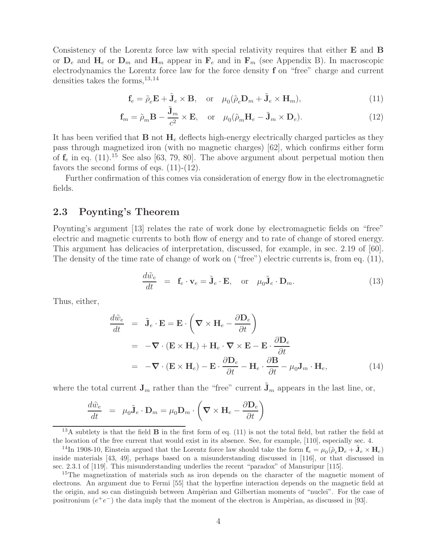Consistency of the Lorentz force law with special relativity requires that either **E** and **B** or  $D_e$  and  $H_e$  or  $D_m$  and  $H_m$  appear in  $F_e$  and in  $F_m$  (see Appendix B). In macroscopic electrodynamics the Lorentz force law for the force density **f** on "free" charge and current densities takes the forms,13,14

$$
\mathbf{f}_e = \tilde{\rho}_e \mathbf{E} + \tilde{\mathbf{J}}_e \times \mathbf{B}, \quad \text{or} \quad \mu_0(\tilde{\rho}_e \mathbf{D}_m + \tilde{\mathbf{J}}_e \times \mathbf{H}_m), \tag{11}
$$

$$
\mathbf{f}_m = \tilde{\rho}_m \mathbf{B} - \frac{\tilde{\mathbf{J}}_m}{c^2} \times \mathbf{E}, \quad \text{or} \quad \mu_0(\tilde{\rho}_m \mathbf{H}_e - \tilde{\mathbf{J}}_m \times \mathbf{D}_e). \tag{12}
$$

It has been verified that **B** not **H**<sup>e</sup> deflects high-energy electrically charged particles as they pass through magnetized iron (with no magnetic charges) [62], which confirms either form of  $f_e$  in eq.  $(11)^{15}$  See also [63, 79, 80]. The above argument about perpetual motion then favors the second forms of eqs.  $(11)-(12)$ .

Further confirmation of this comes via consideration of energy flow in the electromagnetic fields.

## **2.3 Poynting's Theorem**

Poynting's argument [13] relates the rate of work done by electromagnetic fields on "free" electric and magnetic currents to both flow of energy and to rate of change of stored energy. This argument has delicacies of interpretation, discussed, for example, in sec. 2.19 of [60]. The density of the time rate of change of work on ("free") electric currents is, from eq. (11),

$$
\frac{d\tilde{w}_e}{dt} = \mathbf{f}_e \cdot \mathbf{v}_e = \tilde{\mathbf{J}}_e \cdot \mathbf{E}, \text{ or } \mu_0 \tilde{\mathbf{J}}_e \cdot \mathbf{D}_m.
$$
\n(13)

Thus, either,

$$
\frac{d\tilde{w}_e}{dt} = \tilde{\mathbf{J}}_e \cdot \mathbf{E} = \mathbf{E} \cdot \left( \nabla \times \mathbf{H}_e - \frac{\partial \mathbf{D}_e}{\partial t} \right)
$$
\n
$$
= -\nabla \cdot (\mathbf{E} \times \mathbf{H}_e) + \mathbf{H}_e \cdot \nabla \times \mathbf{E} - \mathbf{E} \cdot \frac{\partial \mathbf{D}_e}{\partial t}
$$
\n
$$
= -\nabla \cdot (\mathbf{E} \times \mathbf{H}_e) - \mathbf{E} \cdot \frac{\partial \mathbf{D}_e}{\partial t} - \mathbf{H}_e \cdot \frac{\partial \mathbf{B}}{\partial t} - \mu_0 \mathbf{J}_m \cdot \mathbf{H}_e,
$$
\n(14)

where the total current  $J_m$  rather than the "free" current  $\tilde{J}_m$  appears in the last line, or,

$$
\frac{d\tilde{w}_e}{dt} = \mu_0 \tilde{\mathbf{J}}_e \cdot \mathbf{D}_m = \mu_0 \mathbf{D}_m \cdot \left( \mathbf{\nabla} \times \mathbf{H}_e - \frac{\partial \mathbf{D}_e}{\partial t} \right)
$$

<sup>13</sup>A subtlety is that the field **B** in the first form of eq. (11) is not the total field, but rather the field at the location of the free current that would exist in its absence. See, for example, [110], especially sec. 4.

<sup>&</sup>lt;sup>14</sup>In 1908-10, Einstein argued that the Lorentz force law should take the form  $\mathbf{f}_e = \mu_0(\tilde{\rho}_e \mathbf{D}_e + \tilde{\mathbf{J}}_e \times \mathbf{H}_e)$ inside materials [43, 49], perhaps based on a misunderstanding discussed in [116], or that discussed in sec. 2.3.1 of [119]. This misunderstanding underlies the recent "paradox" of Mansuripur [115].

<sup>&</sup>lt;sup>15</sup>The magnetization of materials such as iron depends on the character of the magnetic moment of electrons. An argument due to Fermi [55] that the hyperfine interaction depends on the magnetic field at the origin, and so can distinguish between Ampèrian and Gilbertian moments of "nuclei". For the case of positronium  $(e^+e^-)$  the data imply that the moment of the electron is Ampèrian, as discussed in [93].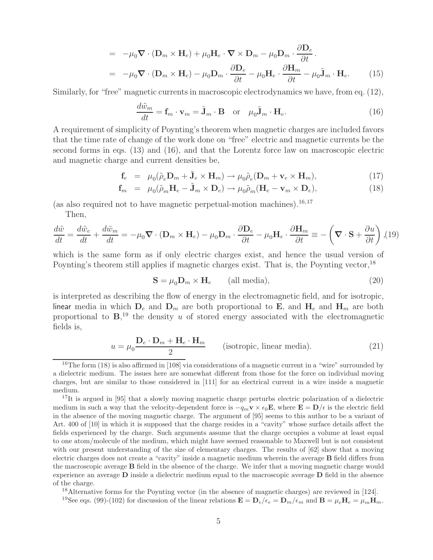$$
= -\mu_0 \nabla \cdot (\mathbf{D}_m \times \mathbf{H}_e) + \mu_0 \mathbf{H}_e \cdot \nabla \times \mathbf{D}_m - \mu_0 \mathbf{D}_m \cdot \frac{\partial \mathbf{D}_e}{\partial t}.
$$
  

$$
= -\mu_0 \nabla \cdot (\mathbf{D}_m \times \mathbf{H}_e) - \mu_0 \mathbf{D}_m \cdot \frac{\partial \mathbf{D}_e}{\partial t} - \mu_0 \mathbf{H}_e \cdot \frac{\partial \mathbf{H}_m}{\partial t} - \mu_0 \tilde{\mathbf{J}}_m \cdot \mathbf{H}_e.
$$
(15)

Similarly, for "free" magnetic currents in macroscopic electrodynamics we have, from eq. (12),

$$
\frac{d\tilde{w}_m}{dt} = \mathbf{f}_m \cdot \mathbf{v}_m = \tilde{\mathbf{J}}_m \cdot \mathbf{B} \quad \text{or} \quad \mu_0 \tilde{\mathbf{J}}_m \cdot \mathbf{H}_e.
$$
 (16)

A requirement of simplicity of Poynting's theorem when magnetic charges are included favors that the time rate of change of the work done on "free" electric and magnetic currents be the second forms in eqs. (13) and (16), and that the Lorentz force law on macroscopic electric and magnetic charge and current densities be,

$$
\mathbf{f}_e = \mu_0(\tilde{\rho}_e \mathbf{D}_m + \tilde{\mathbf{J}}_e \times \mathbf{H}_m) \to \mu_0 \tilde{\rho}_e (\mathbf{D}_m + \mathbf{v}_e \times \mathbf{H}_m), \tag{17}
$$

$$
\mathbf{f}_m = \mu_0(\tilde{\rho}_m \mathbf{H}_e - \tilde{\mathbf{J}}_m \times \mathbf{D}_e) \rightarrow \mu_0 \tilde{\rho}_m(\mathbf{H}_e - \mathbf{v}_m \times \mathbf{D}_e), \tag{18}
$$

(as also required not to have magnetic perpetual-motion machines).  $16,17$ Then,

$$
\frac{d\tilde{w}}{dt} = \frac{d\tilde{w}_e}{dt} + \frac{d\tilde{w}_m}{dt} = -\mu_0 \nabla \cdot (\mathbf{D}_m \times \mathbf{H}_e) - \mu_0 \mathbf{D}_m \cdot \frac{\partial \mathbf{D}_e}{\partial t} - \mu_0 \mathbf{H}_e \cdot \frac{\partial \mathbf{H}_m}{\partial t} = -\left(\nabla \cdot \mathbf{S} + \frac{\partial u}{\partial t}\right), (19)
$$

which is the same form as if only electric charges exist, and hence the usual version of Poynting's theorem still applies if magnetic charges exist. That is, the Poynting vector,<sup>18</sup>

$$
\mathbf{S} = \mu_0 \mathbf{D}_m \times \mathbf{H}_e \qquad \text{(all media)},\tag{20}
$$

is interpreted as describing the flow of energy in the electromagnetic field, and for isotropic, linear media in which  $D_e$  and  $D_m$  are both proportional to **E**, and  $H_e$  and  $H_m$  are both proportional to  $\mathbf{B}$ ,<sup>19</sup> the density u of stored energy associated with the electromagnetic fields is,

$$
u = \mu_0 \frac{\mathbf{D}_e \cdot \mathbf{D}_m + \mathbf{H}_e \cdot \mathbf{H}_m}{2}
$$
 (isotropic, linear media). (21)

<sup>18</sup>Alternative forms for the Poynting vector (in the absence of magnetic charges) are reviewed in [124]. <sup>19</sup>See eqs. (99)-(102) for discussion of the linear relations  $\mathbf{E} = \mathbf{D}_e/\epsilon_e = \mathbf{D}_m/\epsilon_m$  and  $\mathbf{B} = \mu_e \mathbf{H}_e = \mu_m \mathbf{H}_m$ .

<sup>&</sup>lt;sup>16</sup>The form  $(18)$  is also affirmed in [108] via considerations of a magnetic current in a "wire" surrounded by a dielectric medium. The issues here are somewhat different from those for the force on individual moving charges, but are similar to those considered in [111] for an electrical current in a wire inside a magnetic medium.

<sup>&</sup>lt;sup>17</sup>It is argued in [95] that a slowly moving magnetic charge perturbs electric polarization of a dielectric medium in such a way that the velocity-dependent force is  $-q_m \mathbf{v} \times \epsilon_0 \mathbf{E}$ , where  $\mathbf{E} = \mathbf{D}/\epsilon$  is the electric field in the absence of the moving magnetic charge. The argument of [95] seems to this author to be a variant of Art. 400 of [10] in which it is supposed that the charge resides in a "cavity" whose surface details affect the fields experienced by the charge. Such arguments assume that the charge occupies a volume at least equal to one atom/molecule of the medium, which might have seemed reasonable to Maxwell but is not consistent with our present understanding of the size of elementary charges. The results of [62] show that a moving electric charges does not create a "cavity" inside a magnetic medium wherein the average **B** field differs from the macroscopic average **B** field in the absence of the charge. We infer that a moving magnetic charge would experience an average **D** inside a dielectric medium equal to the macroscopic average **D** field in the absence of the charge.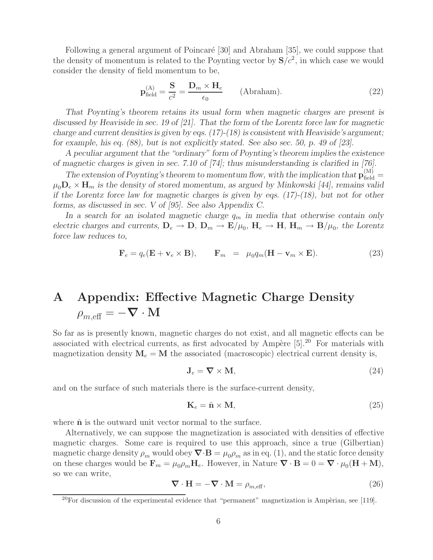Following a general argument of Poincaré [30] and Abraham [35], we could suppose that the density of momentum is related to the Poynting vector by  $S/c^2$ , in which case we would consider the density of field momentum to be,

$$
\mathbf{p}_{\text{field}}^{(A)} = \frac{\mathbf{S}}{c^2} = \frac{\mathbf{D}_m \times \mathbf{H}_e}{\epsilon_0} \qquad \text{(Abraham)}.
$$
 (22)

*That Poynting's theorem retains its usual form when magnetic charges are present is discussed by Heaviside in sec. 19 of [21]. That the form of the Lorentz force law for magnetic charge and current densities is given by eqs. (17)-(18) is consistent with Heaviside's argument; for example, his eq. (88), but is not explicitly stated. See also sec. 50, p. 49 of [23].*

*A peculiar argument that the "ordinary" form of Poynting's theorem implies the existence of magnetic charges is given in sec. 7.10 of [74]; thus misunderstanding is clarified in [76].*

The extension of Poynting's theorem to momentum flow, with the implication that  $\mathbf{p}_{\text{field}}^{(M)}$  $\mu_0 \mathbf{D}_e \times \mathbf{H}_m$  is the density of stored momentum, as argued by Minkowski [44], remains valid *if the Lorentz force law for magnetic charges is given by eqs. (17)-(18), but not for other forms, as discussed in sec. V of [95]. See also Appendix C.*

In a search for an isolated magnetic charge  $q_m$  in media that otherwise contain only *electric charges and currents,*  $D_e \rightarrow D$ ,  $D_m \rightarrow E/\mu_0$ ,  $H_e \rightarrow H$ ,  $H_m \rightarrow B/\mu_0$ , the Lorentz *force law reduces to,*

$$
\mathbf{F}_e = q_e(\mathbf{E} + \mathbf{v}_e \times \mathbf{B}), \qquad \mathbf{F}_m = \mu_0 q_m(\mathbf{H} - \mathbf{v}_m \times \mathbf{E}). \tag{23}
$$

# **A Appendix: Effective Magnetic Charge Density**  $\rho_{m, \text{eff}} = -\nabla \cdot \mathbf{M}$

So far as is presently known, magnetic charges do not exist, and all magnetic effects can be associated with electrical currents, as first advocated by Ampère  $[5].^{20}$  For materials with magnetization density  $M_e = M$  the associated (macroscopic) electrical current density is,

$$
\mathbf{J}_e = \nabla \times \mathbf{M},\tag{24}
$$

and on the surface of such materials there is the surface-current density,

$$
\mathbf{K}_e = \hat{\mathbf{n}} \times \mathbf{M},\tag{25}
$$

where  $\hat{\bf{n}}$  is the outward unit vector normal to the surface.

Alternatively, we can suppose the magnetization is associated with densities of effective magnetic charges. Some care is required to use this approach, since a true (Gilbertian) magnetic charge density  $\rho_m$  would obey  $\nabla \cdot \mathbf{B} = \mu_0 \rho_m$  as in eq. (1), and the static force density on these charges would be  $\mathbf{F}_m = \mu_0 \rho_m \mathbf{H}_e$ . However, in Nature  $\nabla \cdot \mathbf{B} = 0 = \nabla \cdot \mu_0 (\mathbf{H} + \mathbf{M})$ , so we can write,

$$
\nabla \cdot \mathbf{H} = -\nabla \cdot \mathbf{M} = \rho_{m, \text{eff}},\tag{26}
$$

 $^{20}$ For discussion of the experimental evidence that "permanent" magnetization is Ampèrian, see [119].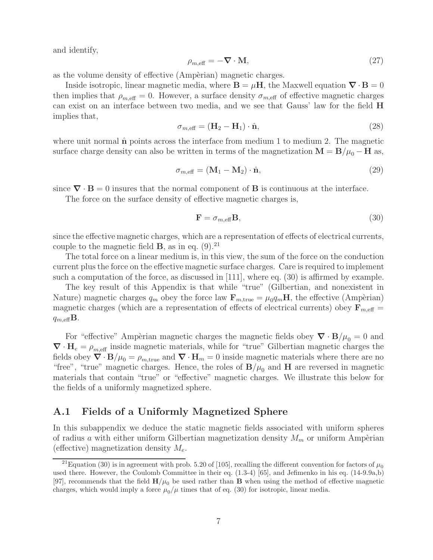and identify,

$$
\rho_{m,\text{eff}} = -\nabla \cdot \mathbf{M},\tag{27}
$$

as the volume density of effective (Ampèrian) magnetic charges.

Inside isotropic, linear magnetic media, where  $\mathbf{B} = \mu \mathbf{H}$ , the Maxwell equation  $\nabla \cdot \mathbf{B} = 0$ then implies that  $\rho_{m,\text{eff}} = 0$ . However, a surface density  $\sigma_{m,\text{eff}}$  of effective magnetic charges can exist on an interface between two media, and we see that Gauss' law for the field **H** implies that,

$$
\sigma_{m,\text{eff}} = (\mathbf{H}_2 - \mathbf{H}_1) \cdot \hat{\mathbf{n}},\tag{28}
$$

where unit normal  $\hat{\bf{n}}$  points across the interface from medium 1 to medium 2. The magnetic surface charge density can also be written in terms of the magnetization  $\mathbf{M} = \mathbf{B}/\mu_0 - \mathbf{H}$  as,

$$
\sigma_{m,\text{eff}} = (\mathbf{M}_1 - \mathbf{M}_2) \cdot \hat{\mathbf{n}},\tag{29}
$$

since  $\nabla \cdot \mathbf{B} = 0$  insures that the normal component of **B** is continuous at the interface.

The force on the surface density of effective magnetic charges is,

$$
\mathbf{F} = \sigma_{m,\text{eff}} \mathbf{B},\tag{30}
$$

since the effective magnetic charges, which are a representation of effects of electrical currents, couple to the magnetic field  $\bf{B}$ , as in eq. (9).<sup>21</sup>

The total force on a linear medium is, in this view, the sum of the force on the conduction current plus the force on the effective magnetic surface charges. Care is required to implement such a computation of the force, as discussed in [111], where eq. (30) is affirmed by example.

The key result of this Appendix is that while "true" (Gilbertian, and nonexistent in Nature) magnetic charges  $q_m$  obey the force law  $\mathbf{F}_{m,\text{true}} = \mu_0 q_m \mathbf{H}$ , the effective (Ampèrian) magnetic charges (which are a representation of effects of electrical currents) obey  $\mathbf{F}_{m,\text{eff}} =$  $q_{m,\text{eff}}$ **B**.

For "effective" Ampèrian magnetic charges the magnetic fields obey  $\nabla \cdot \mathbf{B}/\mu_0 = 0$  and  $\nabla \cdot \mathbf{H}_e = \rho_{m, \text{eff}}$  inside magnetic materials, while for "true" Gilbertian magnetic charges the fields obey  $\nabla \cdot \mathbf{B}/\mu_0 = \rho_{m,\text{true}}$  and  $\nabla \cdot \mathbf{H}_m = 0$  inside magnetic materials where there are no "free", "true" magnetic charges. Hence, the roles of  $\mathbf{B}/\mu_0$  and **H** are reversed in magnetic materials that contain "true" or "effective" magnetic charges. We illustrate this below for the fields of a uniformly magnetized sphere.

# **A.1 Fields of a Uniformly Magnetized Sphere**

In this subappendix we deduce the static magnetic fields associated with uniform spheres of radius a with either uniform Gilbertian magnetization density  $M_m$  or uniform Ampèrian (effective) magnetization density  $M_e$ .

<sup>&</sup>lt;sup>21</sup>Equation (30) is in agreement with prob. 5.20 of [105], recalling the different convention for factors of  $\mu_0$ used there. However, the Coulomb Committee in their eq. (1.3-4) [65], and Jefimenko in his eq. (14-9.9a,b) [97], recommends that the field  $H/\mu_0$  be used rather than **B** when using the method of effective magnetic charges, which would imply a force  $\mu_0/\mu$  times that of eq. (30) for isotropic, linear media.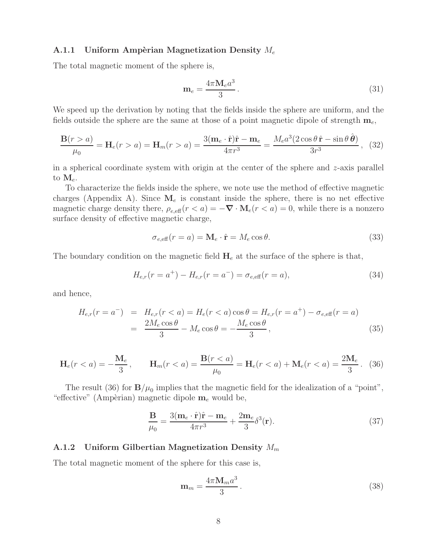#### **A.1.1 Uniform Ampèrian Magnetization Density**  $M_e$

The total magnetic moment of the sphere is,

$$
\mathbf{m}_e = \frac{4\pi \mathbf{M}_e a^3}{3} \,. \tag{31}
$$

We speed up the derivation by noting that the fields inside the sphere are uniform, and the fields outside the sphere are the same at those of a point magnetic dipole of strength  $\mathbf{m}_e$ ,

$$
\frac{\mathbf{B}(r>a)}{\mu_0} = \mathbf{H}_e(r>a) = \mathbf{H}_m(r>a) = \frac{3(\mathbf{m}_e \cdot \hat{\mathbf{r}})\hat{\mathbf{r}} - \mathbf{m}_e}{4\pi r^3} = \frac{M_e a^3 (2\cos\theta \,\hat{\mathbf{r}} - \sin\theta \,\hat{\boldsymbol{\theta}})}{3r^3},\tag{32}
$$

in a spherical coordinate system with origin at the center of the sphere and  $z$ -axis parallel to  $\mathbf{M}_e$ .

To characterize the fields inside the sphere, we note use the method of effective magnetic charges (Appendix A). Since  $M_e$  is constant inside the sphere, there is no net effective magnetic charge density there,  $\rho_{e,\text{eff}}(r < a) = -\nabla \cdot \mathbf{M}_e(r < a) = 0$ , while there is a nonzero surface density of effective magnetic charge,

$$
\sigma_{e,\text{eff}}(r=a) = \mathbf{M}_e \cdot \hat{\mathbf{r}} = M_e \cos \theta. \tag{33}
$$

The boundary condition on the magnetic field  $H_e$  at the surface of the sphere is that,

$$
H_{e,r}(r = a^{+}) - H_{e,r}(r = a^{-}) = \sigma_{e,eff}(r = a),
$$
\n(34)

and hence,

$$
H_{e,r}(r = a^{-}) = H_{e,r}(r < a) = H_e(r < a) \cos \theta = H_{e,r}(r = a^{+}) - \sigma_{e,eff}(r = a)
$$
  
= 
$$
\frac{2M_e \cos \theta}{3} - M_e \cos \theta = -\frac{M_e \cos \theta}{3},
$$
 (35)

$$
\mathbf{H}_e(r < a) = -\frac{\mathbf{M}_e}{3}, \qquad \mathbf{H}_m(r < a) = \frac{\mathbf{B}(r < a)}{\mu_0} = \mathbf{H}_e(r < a) + \mathbf{M}_e(r < a) = \frac{2\mathbf{M}_e}{3} \,. \tag{36}
$$

The result (36) for  $\mathbf{B}/\mu_0$  implies that the magnetic field for the idealization of a "point", "effective" (Ampèrian) magnetic dipole  $\mathbf{m}_e$  would be,

$$
\frac{\mathbf{B}}{\mu_0} = \frac{3(\mathbf{m}_e \cdot \hat{\mathbf{r}})\hat{\mathbf{r}} - \mathbf{m}_e}{4\pi r^3} + \frac{2\mathbf{m}_e}{3}\delta^3(\mathbf{r}).\tag{37}
$$

#### **A.1.2 Uniform Gilbertian Magnetization Density** M<sup>m</sup>

The total magnetic moment of the sphere for this case is,

$$
\mathbf{m}_m = \frac{4\pi \mathbf{M}_m a^3}{3} \,. \tag{38}
$$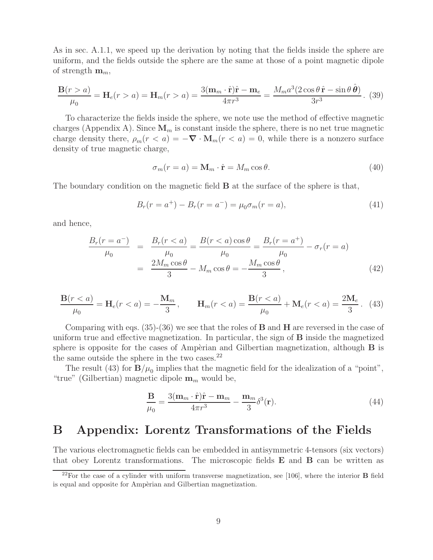As in sec. A.1.1, we speed up the derivation by noting that the fields inside the sphere are uniform, and the fields outside the sphere are the same at those of a point magnetic dipole of strength  $\mathbf{m}_m$ ,

$$
\frac{\mathbf{B}(r>a)}{\mu_0} = \mathbf{H}_e(r>a) = \mathbf{H}_m(r>a) = \frac{3(\mathbf{m}_m \cdot \hat{\mathbf{r}})\hat{\mathbf{r}} - \mathbf{m}_e}{4\pi r^3} = \frac{M_m a^3 (2\cos\theta \,\hat{\mathbf{r}} - \sin\theta \,\hat{\boldsymbol{\theta}})}{3r^3}.
$$
 (39)

To characterize the fields inside the sphere, we note use the method of effective magnetic charges (Appendix A). Since  $\mathbf{M}_m$  is constant inside the sphere, there is no net true magnetic charge density there,  $\rho_m(r \le a) = -\nabla \cdot \mathbf{M}_m(r \le a) = 0$ , while there is a nonzero surface density of true magnetic charge,

$$
\sigma_m(r=a) = \mathbf{M}_m \cdot \hat{\mathbf{r}} = M_m \cos \theta. \tag{40}
$$

The boundary condition on the magnetic field **B** at the surface of the sphere is that,

$$
B_r(r = a^+) - B_r(r = a^-) = \mu_0 \sigma_m(r = a), \tag{41}
$$

and hence,

$$
\frac{B_r(r = a^-)}{\mu_0} = \frac{B_r(r < a)}{\mu_0} = \frac{B(r < a)\cos\theta}{\mu_0} = \frac{B_r(r = a^+)}{\mu_0} - \sigma_r(r = a)
$$

$$
= \frac{2M_m\cos\theta}{3} - M_m\cos\theta = -\frac{M_m\cos\theta}{3},
$$
(42)

$$
\frac{\mathbf{B}(r (43)
$$

Comparing with eqs. (35)-(36) we see that the roles of **B** and **H** are reversed in the case of uniform true and effective magnetization. In particular, the sign of **B** inside the magnetized sphere is opposite for the cases of Ampèrian and Gilbertian magnetization, although  $\bf{B}$  is the same outside the sphere in the two cases.<sup>22</sup>

The result (43) for  $\mathbf{B}/\mu_0$  implies that the magnetic field for the idealization of a "point", "true" (Gilbertian) magnetic dipole  $\mathbf{m}_m$  would be,

$$
\frac{\mathbf{B}}{\mu_0} = \frac{3(\mathbf{m}_m \cdot \hat{\mathbf{r}})\hat{\mathbf{r}} - \mathbf{m}_m}{4\pi r^3} - \frac{\mathbf{m}_m}{3} \delta^3(\mathbf{r}).\tag{44}
$$

# **B Appendix: Lorentz Transformations of the Fields**

The various electromagnetic fields can be embedded in antisymmetric 4-tensors (six vectors) that obey Lorentz transformations. The microscopic fields **E** and **B** can be written as

<sup>22</sup>For the case of a cylinder with uniform transverse magnetization, see [106], where the interior **B** field is equal and opposite for Ampèrian and Gilbertian magnetization.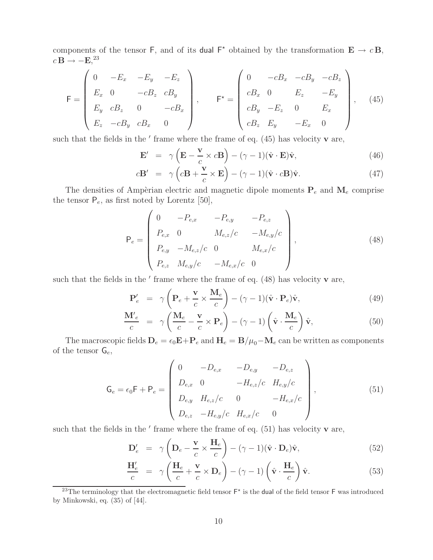components of the tensor F, and of its dual  $F^*$  obtained by the transformation  $\mathbf{E} \to c \mathbf{B}$ ,  $c\,\mathbf{B} \rightarrow -\mathbf{E}$ <sup>23</sup>

$$
\mathsf{F} = \begin{pmatrix} 0 & -E_x & -E_y & -E_z \\ E_x & 0 & -cB_z & cB_y \\ E_y & cB_z & 0 & -cB_x \\ E_z & -cB_y & cB_x & 0 \end{pmatrix}, \qquad \mathsf{F}^* = \begin{pmatrix} 0 & -cB_x & -cB_y & -cB_z \\ cB_x & 0 & E_z & -E_y \\ cB_y & -E_z & 0 & E_x \\ cB_z & E_y & -E_x & 0 \end{pmatrix}, \quad (45)
$$

such that the fields in the  $'$  frame where the frame of eq.  $(45)$  has velocity **v** are,

$$
\mathbf{E}' = \gamma \left( \mathbf{E} - \frac{\mathbf{v}}{c} \times c \mathbf{B} \right) - (\gamma - 1)(\hat{\mathbf{v}} \cdot \mathbf{E})\hat{\mathbf{v}},\tag{46}
$$

$$
c\mathbf{B}' = \gamma \left( c\mathbf{B} + \frac{\mathbf{v}}{c} \times \mathbf{E} \right) - (\gamma - 1)(\hat{\mathbf{v}} \cdot c\mathbf{B})\hat{\mathbf{v}}.
$$
 (47)

The densities of Ampèrian electric and magnetic dipole moments  $P_e$  and  $M_e$  comprise the tensor  $P_e$ , as first noted by Lorentz [50],

$$
\mathsf{P}_e = \begin{pmatrix} 0 & -P_{e,x} & -P_{e,y} & -P_{e,z} \\ P_{e,x} & 0 & M_{e,z}/c & -M_{e,y}/c \\ P_{e,y} & -M_{e,z}/c & 0 & M_{e,x}/c \\ P_{e,z} & M_{e,y}/c & -M_{e,x}/c & 0 \end{pmatrix},
$$
(48)

such that the fields in the  $'$  frame where the frame of eq.  $(48)$  has velocity **v** are,

$$
\mathbf{P}'_e = \gamma \left( \mathbf{P}_e + \frac{\mathbf{v}}{c} \times \frac{\mathbf{M}_e}{c} \right) - (\gamma - 1)(\hat{\mathbf{v}} \cdot \mathbf{P}_e) \hat{\mathbf{v}},\tag{49}
$$

$$
\frac{\mathbf{M}'^e}{c} = \gamma \left( \frac{\mathbf{M}_e}{c} - \frac{\mathbf{v}}{c} \times \mathbf{P}_e \right) - (\gamma - 1) \left( \hat{\mathbf{v}} \cdot \frac{\mathbf{M}_e}{c} \right) \hat{\mathbf{v}},\tag{50}
$$

The macroscopic fields  $D_e = \epsilon_0 \mathbf{E} + \mathbf{P}_e$  and  $\mathbf{H}_e = \mathbf{B}/\mu_0 - \mathbf{M}_e$  can be written as components of the tensor  $G_e$ ,

$$
\mathsf{G}_e = \epsilon_0 \mathsf{F} + \mathsf{P}_e = \begin{pmatrix} 0 & -D_{e,x} & -D_{e,y} & -D_{e,z} \\ D_{e,x} & 0 & -H_{e,z}/c & H_{e,y}/c \\ D_{e,y} & H_{e,z}/c & 0 & -H_{e,x}/c \\ D_{e,z} & -H_{e,y}/c & H_{e,x}/c & 0 \end{pmatrix},
$$
(51)

such that the fields in the  $'$  frame where the frame of eq.  $(51)$  has velocity **v** are,

$$
\mathbf{D}'_e = \gamma \left( \mathbf{D}_e - \frac{\mathbf{v}}{c} \times \frac{\mathbf{H}_e}{c} \right) - (\gamma - 1)(\hat{\mathbf{v}} \cdot \mathbf{D}_e) \hat{\mathbf{v}}, \tag{52}
$$

$$
\frac{\mathbf{H}'_e}{c} = \gamma \left( \frac{\mathbf{H}_e}{c} + \frac{\mathbf{v}}{c} \times \mathbf{D}_e \right) - (\gamma - 1) \left( \hat{\mathbf{v}} \cdot \frac{\mathbf{H}_e}{c} \right) \hat{\mathbf{v}}.
$$
 (53)

<sup>&</sup>lt;sup>23</sup>The terminology that the electromagnetic field tensor  $F^*$  is the dual of the field tensor  $F$  was introduced by Minkowski, eq. (35) of [44].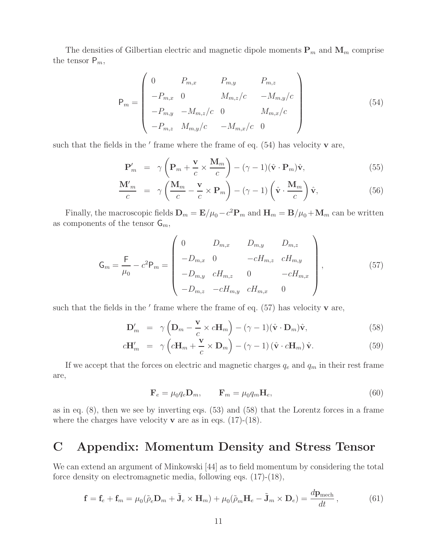The densities of Gilbertian electric and magnetic dipole moments  $P_m$  and  $M_m$  comprise the tensor  $P_m$ ,

$$
\mathsf{P}_m = \begin{pmatrix} 0 & P_{m,x} & P_{m,y} & P_{m,z} \\ -P_{m,x} & 0 & M_{m,z}/c & -M_{m,y}/c \\ -P_{m,y} & -M_{m,z}/c & 0 & M_{m,x}/c \\ -P_{m,z} & M_{m,y}/c & -M_{m,x}/c & 0 \end{pmatrix}
$$
(54)

such that the fields in the  $'$  frame where the frame of eq.  $(54)$  has velocity **v** are,

$$
\mathbf{P}'_m = \gamma \left( \mathbf{P}_m + \frac{\mathbf{v}}{c} \times \frac{\mathbf{M}_m}{c} \right) - (\gamma - 1)(\hat{\mathbf{v}} \cdot \mathbf{P}_m)\hat{\mathbf{v}}, \tag{55}
$$

$$
\frac{\mathbf{M}'^m}{c} = \gamma \left( \frac{\mathbf{M}_m}{c} - \frac{\mathbf{v}}{c} \times \mathbf{P}_m \right) - (\gamma - 1) \left( \hat{\mathbf{v}} \cdot \frac{\mathbf{M}_m}{c} \right) \hat{\mathbf{v}},\tag{56}
$$

Finally, the macroscopic fields  $\mathbf{D}_m = \mathbf{E}/\mu_0 - c^2 \mathbf{P}_m$  and  $\mathbf{H}_m = \mathbf{B}/\mu_0 + \mathbf{M}_m$  can be written as components of the tensor  $\mathsf{G}_m$ ,

$$
\mathsf{G}_{m} = \frac{\mathsf{F}}{\mu_{0}} - c^{2} \mathsf{P}_{m} = \begin{pmatrix} 0 & D_{m,x} & D_{m,y} & D_{m,z} \\ -D_{m,x} & 0 & -cH_{m,z} & cH_{m,y} \\ -D_{m,y} & cH_{m,z} & 0 & -cH_{m,x} \\ -D_{m,z} & -cH_{m,y} & cH_{m,x} & 0 \end{pmatrix}, \qquad (57)
$$

such that the fields in the  $'$  frame where the frame of eq.  $(57)$  has velocity **v** are,

$$
\mathbf{D}'_m = \gamma \left( \mathbf{D}_m - \frac{\mathbf{v}}{c} \times c \mathbf{H}_m \right) - (\gamma - 1)(\hat{\mathbf{v}} \cdot \mathbf{D}_m) \hat{\mathbf{v}}, \tag{58}
$$

$$
c\mathbf{H}'_m = \gamma \left( c\mathbf{H}_m + \frac{\mathbf{v}}{c} \times \mathbf{D}_m \right) - (\gamma - 1) \left( \hat{\mathbf{v}} \cdot c\mathbf{H}_m \right) \hat{\mathbf{v}}.
$$
 (59)

If we accept that the forces on electric and magnetic charges  $q_e$  and  $q_m$  in their rest frame are,

$$
\mathbf{F}_e = \mu_0 q_e \mathbf{D}_m, \qquad \mathbf{F}_m = \mu_0 q_m \mathbf{H}_e,\tag{60}
$$

as in eq. (8), then we see by inverting eqs. (53) and (58) that the Lorentz forces in a frame where the charges have velocity **v** are as in eqs.  $(17)-(18)$ .

# **C Appendix: Momentum Density and Stress Tensor**

We can extend an argument of Minkowski [44] as to field momentum by considering the total force density on electromagnetic media, following eqs. (17)-(18),

$$
\mathbf{f} = \mathbf{f}_e + \mathbf{f}_m = \mu_0 (\tilde{\rho}_e \mathbf{D}_m + \tilde{\mathbf{J}}_e \times \mathbf{H}_m) + \mu_0 (\tilde{\rho}_m \mathbf{H}_e - \tilde{\mathbf{J}}_m \times \mathbf{D}_e) = \frac{d \mathbf{p}_{\text{mech}}}{dt},
$$
(61)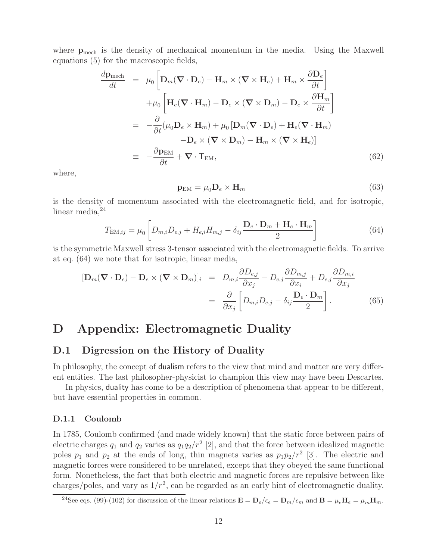where  $p_{\text{mech}}$  is the density of mechanical momentum in the media. Using the Maxwell equations (5) for the macroscopic fields,

$$
\frac{d\mathbf{p}_{\text{mech}}}{dt} = \mu_0 \left[ \mathbf{D}_m (\nabla \cdot \mathbf{D}_e) - \mathbf{H}_m \times (\nabla \times \mathbf{H}_e) + \mathbf{H}_m \times \frac{\partial \mathbf{D}_e}{\partial t} \right]
$$
\n
$$
+ \mu_0 \left[ \mathbf{H}_e (\nabla \cdot \mathbf{H}_m) - \mathbf{D}_e \times (\nabla \times \mathbf{D}_m) - \mathbf{D}_e \times \frac{\partial \mathbf{H}_m}{\partial t} \right]
$$
\n
$$
= -\frac{\partial}{\partial t} (\mu_0 \mathbf{D}_e \times \mathbf{H}_m) + \mu_0 \left[ \mathbf{D}_m (\nabla \cdot \mathbf{D}_e) + \mathbf{H}_e (\nabla \cdot \mathbf{H}_m) \right]
$$
\n
$$
- \mathbf{D}_e \times (\nabla \times \mathbf{D}_m) - \mathbf{H}_m \times (\nabla \times \mathbf{H}_e) \right]
$$
\n
$$
= -\frac{\partial \mathbf{p}_{\text{EM}}}{\partial t} + \nabla \cdot \mathbf{T}_{\text{EM}}, \tag{62}
$$

where,

$$
\mathbf{p}_{\text{EM}} = \mu_0 \mathbf{D}_e \times \mathbf{H}_m \tag{63}
$$

is the density of momentum associated with the electromagnetic field, and for isotropic, linear media, $24$ 

$$
T_{\text{EM},ij} = \mu_0 \left[ D_{m,i} D_{e,j} + H_{e,i} H_{m,j} - \delta_{ij} \frac{\mathbf{D}_e \cdot \mathbf{D}_m + \mathbf{H}_e \cdot \mathbf{H}_m}{2} \right]
$$
(64)

is the symmetric Maxwell stress 3-tensor associated with the electromagnetic fields. To arrive at eq. (64) we note that for isotropic, linear media,

$$
[\mathbf{D}_{m}(\nabla \cdot \mathbf{D}_{e}) - \mathbf{D}_{e} \times (\nabla \times \mathbf{D}_{m})]_{i} = D_{m,i} \frac{\partial D_{e,j}}{\partial x_{j}} - D_{e,j} \frac{\partial D_{m,j}}{\partial x_{i}} + D_{e,j} \frac{\partial D_{m,i}}{\partial x_{j}}
$$

$$
= \frac{\partial}{\partial x_{j}} \left[ D_{m,i} D_{e,j} - \delta_{ij} \frac{\mathbf{D}_{e} \cdot \mathbf{D}_{m}}{2} \right].
$$
(65)

# **D Appendix: Electromagnetic Duality**

## **D.1 Digression on the History of Duality**

In philosophy, the concept of **dualism** refers to the view that mind and matter are very different entities. The last philosopher-physicist to champion this view may have been Descartes.

In physics, duality has come to be a description of phenomena that appear to be different, but have essential properties in common.

#### **D.1.1 Coulomb**

In 1785, Coulomb confirmed (and made widely known) that the static force between pairs of electric charges  $q_1$  and  $q_2$  varies as  $q_1q_2/r^2$  [2], and that the force between idealized magnetic poles  $p_1$  and  $p_2$  at the ends of long, thin magnets varies as  $p_1p_2/r^2$  [3]. The electric and magnetic forces were considered to be unrelated, except that they obeyed the same functional form. Nonetheless, the fact that both electric and magnetic forces are repulsive between like charges/poles, and vary as  $1/r^2$ , can be regarded as an early hint of electromagnetic duality.

<sup>&</sup>lt;sup>24</sup>See eqs. (99)-(102) for discussion of the linear relations  $\mathbf{E} = \mathbf{D}_e/\epsilon_e = \mathbf{D}_m/\epsilon_m$  and  $\mathbf{B} = \mu_e \mathbf{H}_e = \mu_m \mathbf{H}_m$ .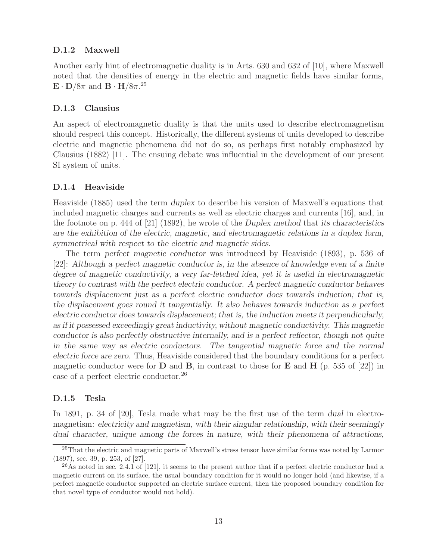#### **D.1.2 Maxwell**

Another early hint of electromagnetic duality is in Arts. 630 and 632 of [10], where Maxwell noted that the densities of energy in the electric and magnetic fields have similar forms,  $\mathbf{E} \cdot \mathbf{D}/8\pi$  and  $\mathbf{B} \cdot \mathbf{H}/8\pi$ .<sup>25</sup>

#### **D.1.3 Clausius**

An aspect of electromagnetic duality is that the units used to describe electromagnetism should respect this concept. Historically, the different systems of units developed to describe electric and magnetic phenomena did not do so, as perhaps first notably emphasized by Clausius (1882) [11]. The ensuing debate was influential in the development of our present SI system of units.

#### **D.1.4 Heaviside**

Heaviside (1885) used the term *duplex* to describe his version of Maxwell's equations that included magnetic charges and currents as well as electric charges and currents [16], and, in the footnote on p. 444 of [21] (1892), he wrote of the *Duplex method* that *its characteristics are the exhibition of the electric, magnetic, and electromagnetic relations in a duplex form, symmetrical with respect to the electric and magnetic sides*.

The term *perfect magnetic conductor* was introduced by Heaviside (1893), p. 536 of [22]: *Although a perfect magnetic conductor is, in the absence of knowledge even of a finite degree of magnetic conductivity, a very far-fetched idea, yet it is useful in electromagnetic theory to contrast with the perfect electric conductor. A perfect magnetic conductor behaves towards displacement just as a perfect electric conductor does towards induction; that is, the displacement goes round it tangentially. It also behaves towards induction as a perfect electric conductor does towards displacement; that is, the induction meets it perpendicularly, as if it possessed exceedingly great inductivity, without magnetic conductivity. This magnetic conductor is also perfectly obstructive internally, and is a perfect reflector, though not quite in the same way as electric conductors. The tangential magnetic force and the normal electric force are zero.* Thus, Heaviside considered that the boundary conditions for a perfect magnetic conductor were for  $D$  and  $B$ , in contrast to those for  $E$  and  $H$  (p. 535 of [22]) in case of a perfect electric conductor.<sup>26</sup>

### **D.1.5 Tesla**

In 1891, p. 34 of [20], Tesla made what may be the first use of the term *dual* in electromagnetism: *electricity and magnetism, with their singular relationship, with their seemingly dual character, unique among the forces in nature, with their phenomena of attractions,*

<sup>&</sup>lt;sup>25</sup>That the electric and magnetic parts of Maxwell's stress tensor have similar forms was noted by Larmor (1897), sec. 39, p. 253, of [27].

 $^{26}$ As noted in sec. 2.4.1 of [121], it seems to the present author that if a perfect electric conductor had a magnetic current on its surface, the usual boundary condition for it would no longer hold (and likewise, if a perfect magnetic conductor supported an electric surface current, then the proposed boundary condition for that novel type of conductor would not hold).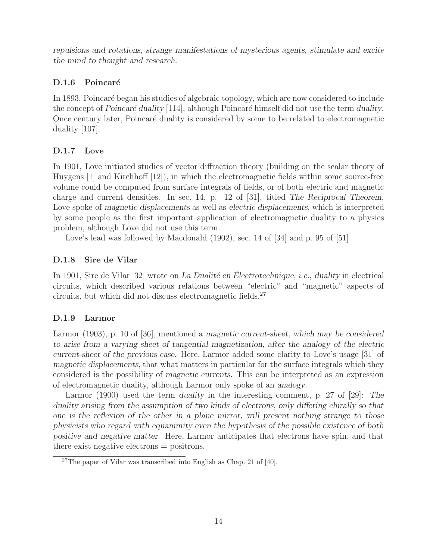*repulsions and rotations, strange manifestations of mysterious agents, stimulate and excite the mind to thought and research*.

# **D.1.6 Poincaré**

In 1893, Poincaré began his studies of algebraic topology, which are now considered to include the concept of *Poincar´e duality* [114], although Poincar´e himself did not use the term *duality*. Once century later, Poincaré duality is considered by some to be related to electromagnetic duality [107].

# **D.1.7 Love**

In 1901, Love initiated studies of vector diffraction theory (building on the scalar theory of Huygens [1] and Kirchhoff [12]), in which the electromagnetic fields within some source-free volume could be computed from surface integrals of fields, or of both electric and magnetic charge and current densities. In sec. 14, p. 12 of [31], titled *The Reciprocal Theorem*, Love spoke of *magnetic displacements* as well as *electric displacements*, which is interpreted by some people as the first important application of electromagnetic duality to a physics problem, although Love did not use this term.

Love's lead was followed by Macdonald  $(1902)$ , sec. 14 of [34] and p. 95 of [51].

# **D.1.8 Sire de Vilar**

In 1901, Sire de Vilar [32] wrote on *La Dualité en Électrotechnique*, *i.e.*, *duality* in electrical circuits, which described various relations between "electric" and "magnetic" aspects of circuits, but which did not discuss electromagnetic fields.<sup>27</sup>

# **D.1.9 Larmor**

Larmor (1903), p. 10 of [36], mentioned a *magnetic current-sheet, which may be considered to arise from a varying sheet of tangential magnetization, after the analogy of the electric current-sheet of the previous case*. Here, Larmor added some clarity to Love's usage [31] of *magnetic displacements*, that what matters in particular for the surface integrals which they considered is the possibility of *magnetic currents*. This can be interpreted as an expression of electromagnetic duality, although Larmor only spoke of an *analogy*.

Larmor (1900) used the term *duality* in the interesting comment, p. 27 of [29]: *The duality arising from the assumption of two kinds of electrons, only differing chirally so that one is the reflexion of the other in a plane mirror, will present nothing strange to those physicists who regard with equanimity even the hypothesis of the possible existence of both positive and negative matter.* Here, Larmor anticipates that electrons have spin, and that there exist negative electrons = positrons.

<sup>27</sup>The paper of Vilar was transcribed into English as Chap. 21 of [40].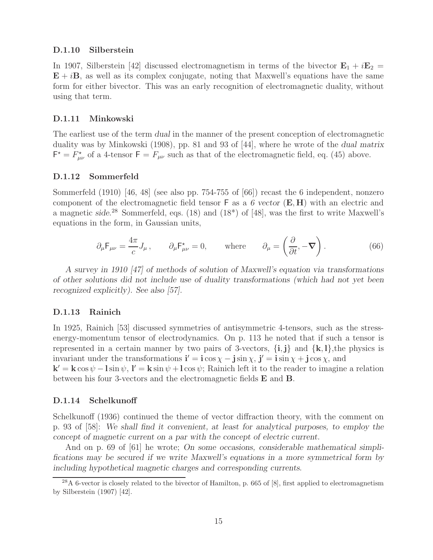#### **D.1.10 Silberstein**

In 1907, Silberstein [42] discussed electromagnetism in terms of the bivector  $\mathbf{E}_1 + i\mathbf{E}_2 =$ **, as well as its complex conjugate, noting that Maxwell's equations have the same** form for either bivector. This was an early recognition of electromagnetic duality, without using that term.

#### **D.1.11 Minkowski**

The earliest use of the term *dual* in the manner of the present conception of electromagnetic duality was by Minkowski (1908), pp. 81 and 93 of [44], where he wrote of the *dual matrix*  $F^* = F^*_{\mu\nu}$  of a 4-tensor  $F = F_{\mu\nu}$  such as that of the electromagnetic field, eq. (45) above.

#### **D.1.12 Sommerfeld**

Sommerfeld (1910) [46, 48] (see also pp. 754-755 of [66]) recast the 6 independent, nonzero component of the electromagnetic field tensor F as a *6 vector* (**E**, **H**) with an electric and a magnetic *side*. <sup>28</sup> Sommerfeld, eqs. (18) and (18\*) of [48], was the first to write Maxwell's equations in the form, in Gaussian units,

$$
\partial_{\mu} \mathsf{F}_{\mu\nu} = \frac{4\pi}{c} J_{\mu} , \qquad \partial_{\mu} \mathsf{F}_{\mu\nu}^{\star} = 0, \qquad \text{where} \qquad \partial_{\mu} = \left( \frac{\partial}{\partial t}, -\nabla \right). \tag{66}
$$

*A survey in 1910 [47] of methods of solution of Maxwell's equation via transformations of other solutions did not include use of duality transformations (which had not yet been recognized explicitly). See also [57].*

#### **D.1.13 Rainich**

In 1925, Rainich [53] discussed symmetries of antisymmetric 4-tensors, such as the stressenergy-momentum tensor of electrodynamics. On p. 113 he noted that if such a tensor is represented in a certain manner by two pairs of 3-vectors,  $\{i, j\}$  and  $\{k, l\}$ , the physics is invariant under the transformations  $\mathbf{i}' = \mathbf{i} \cos \chi - \mathbf{j} \sin \chi$ ,  $\mathbf{j}' = \mathbf{i} \sin \chi + \mathbf{j} \cos \chi$ , and

 $\mathbf{k}' = \mathbf{k} \cos \psi - \mathbf{l} \sin \psi$ ,  $\mathbf{l}' = \mathbf{k} \sin \psi + \mathbf{l} \cos \psi$ ; Rainich left it to the reader to imagine a relation between his four 3-vectors and the electromagnetic fields **E** and **B**.

#### **D.1.14 Schelkunoff**

Schelkunoff (1936) continued the theme of vector diffraction theory, with the comment on p. 93 of [58]: *We shall find it convenient, at least for analytical purposes, to employ the concept of magnetic current on a par with the concept of electric current.*

And on p. 69 of [61] he wrote; *On some occasions, considerable mathematical simplifications may be secured if we write Maxwell's equations in a more symmetrical form by including hypothetical magnetic charges and corresponding currents*.

 $^{28}$ A 6-vector is closely related to the bivector of Hamilton, p. 665 of [8], first applied to electromagnetism by Silberstein (1907) [42].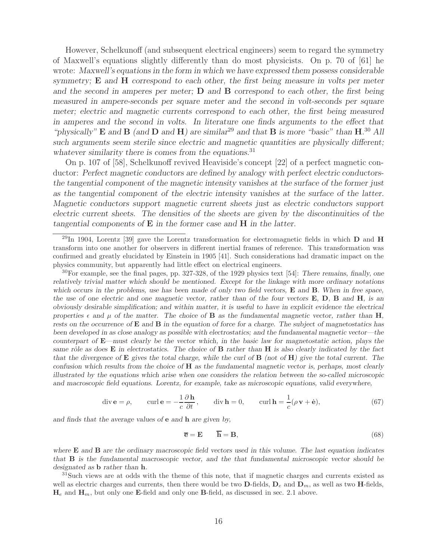However, Schelkunoff (and subsequent electrical engineers) seem to regard the symmetry of Maxwell's equations slightly differently than do most physicists. On p. 70 of [61] he wrote: *Maxwell's equations in the form in which we have expressed them possess considerable symmetry;* **E** *and* **H** *correspond to each other, the first being measure in volts per meter and the second in amperes per meter;* **D** *and* **B** *correspond to each other, the first being measured in ampere-seconds per square meter and the second in volt-seconds per square meter; electric and magnetic currents correspond to each other, the first being measured in amperes and the second in volts. In literature one finds arguments to the effect that "physically"* **E** *and* **B** *(and* **D** *and* **H***) are similar*<sup>29</sup> *and that* **B** *is more "basic" than* **H***.* <sup>30</sup> *All such arguments seem sterile since electric and magnetic quantities are physically different; whatever similarity there is comes from the equations.*<sup>31</sup>

On p. 107 of [58], Schelkunoff revived Heaviside's concept [22] of a perfect magnetic conductor: *Perfect magnetic conductors are defined by analogy with perfect electric conductorsthe tangential component of the magnetic intensity vanishes at the surface of the former just as the tangential component of the electric intensity vanishes at the surface of the latter. Magnetic conductors support magnetic current sheets just as electric conductors support electric current sheets. The densities of the sheets are given by the discontinuities of the tangential components of* **E** *in the former case and* **H** *in the latter*.

<sup>29</sup>In 1904, Lorentz [39] gave the Lorentz transformation for electromagnetic fields in which **D** and **H** transform into one another for observers in different inertial frames of reference. This transformation was confirmed and greatly elucidated by Einstein in 1905 [41]. Such considerations had dramatic impact on the physics community, but apparently had little effect on electrical engineers.

<sup>30</sup>For example, see the final pages, pp. 327-328, of the 1929 physics text [54]: *There remains, finally, one relatively trivial matter which should be mentioned. Except for the linkage with more ordinary notations which occurs in the problems, use has been made of only two field vectors,* **E** *and* **B***. When in free space, the use of one electric and one magnetic vector, rather than of the four vectors* **E***,* **D***,* **B** *and* **H***, is an obviously desirable simplification; and within matter, it is useful to have in explicit evidence the electrical properties*  $\epsilon$  and  $\mu$  of the matter. The choice of **B** as the fundamental magnetic vector, rather than **H**, *rests on the occurrence of* **E** *and* **B** *in the equation of force for a charge. The subject of magnetostatics has been developed in as close analogy as possible with electrostatics; and the fundamental magnetic vector—the counterpart of* **E***—must clearly be the vector which, in the basic law for magnetostatic action, plays the same rˆole as does* **E** *in electrostatics. The choice of* **B** *rather than* **H** *is also clearly indicated by the fact that the divergence of* **E** *gives the total charge, while the curl of* **B** *(not of* **H***) give the total current. The confusion which results from the choice of* **H** *as the fundamental magnetic vector is, perhaps, most clearly illustrated by the equations which arise when one considers the relation between the so-called microscopic and macroscopic field equations. Lorentz, for example, take as microscopic equations, valid everywhere,*

$$
\operatorname{div} \mathbf{e} = \rho, \qquad \operatorname{curl} \mathbf{e} = -\frac{1}{c} \frac{\partial \mathbf{h}}{\partial t}, \qquad \operatorname{div} \mathbf{h} = 0, \qquad \operatorname{curl} \mathbf{h} = \frac{1}{c} (\rho \mathbf{v} + \dot{\mathbf{e}}), \tag{67}
$$

*and finds that the average values of* **e** *and* **h** *are given by,*

$$
\overline{\mathbf{e}} = \mathbf{E} \qquad \overline{\mathbf{h}} = \mathbf{B},\tag{68}
$$

*where* **E** *and* **B** *are the ordinary macroscopic field vectors used in this volume. The last equation indicates that* **B** *is the fundamental macroscopic vector, and the that fundamental microscopic vector should be* designated as **b** *rather than* **h**.<br><sup>31</sup>Such views are at odds with the theme of this note, that if magnetic charges and currents existed as

well as electric charges and currents, then there would be two  $\mathbf{D}\text{-fields}$ ,  $\mathbf{D}_e$  and  $\mathbf{D}_m$ , as well as two **H**-fields,  $\mathbf{H}_e$  and  $\mathbf{H}_m$ , but only one **E**-field and only one **B**-field, as discussed in sec. 2.1 above.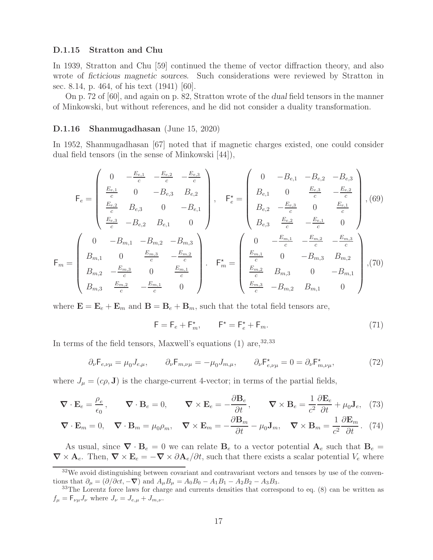#### **D.1.15 Stratton and Chu**

In 1939, Stratton and Chu [59] continued the theme of vector diffraction theory, and also wrote of *ficticious magnetic sources*. Such considerations were reviewed by Stratton in sec. 8.14, p. 464, of his text (1941) [60].

On p. 72 of [60], and again on p. 82, Stratton wrote of the *dual* field tensors in the manner of Minkowski, but without references, and he did not consider a duality transformation.

#### **D.1.16 Shanmugadhasan** (June 15, 2020)

In 1952, Shanmugadhasan [67] noted that if magnetic charges existed, one could consider dual field tensors (in the sense of Minkowski [44]),

$$
\mathsf{F}_{e} = \begin{pmatrix}\n0 & -\frac{E_{e,1}}{c} & -\frac{E_{e,2}}{c} & -\frac{E_{e,3}}{c} \\
\frac{E_{e,1}}{c} & 0 & -B_{e,3} & B_{e,2} \\
\frac{E_{e,2}}{c} & B_{e,3} & 0 & -B_{e,1} \\
\frac{E_{e,3}}{c} & -B_{e,2} & B_{e,1} & 0\n\end{pmatrix}, \quad \mathsf{F}_{e}^{\star} = \begin{pmatrix}\n0 & -B_{e,1} & -B_{e,2} & -B_{e,3} \\
B_{e,1} & 0 & \frac{E_{e,3}}{c} & -\frac{E_{e,2}}{c} \\
B_{e,2} & -\frac{E_{e,3}}{c} & 0 & \frac{E_{e,1}}{c} \\
B_{e,3} & \frac{E_{e,2}}{c} & -\frac{E_{e,1}}{c} & 0\n\end{pmatrix}, (69)
$$
\n
$$
\mathsf{F}_{m} = \begin{pmatrix}\n0 & -B_{m,1} & -B_{m,2} & -B_{m,3} \\
B_{m,1} & 0 & \frac{E_{m,3}}{c} & -\frac{E_{m,2}}{c} \\
B_{m,2} & -\frac{E_{m,3}}{c} & 0 & \frac{E_{m,1}}{c} \\
B_{m,3} & \frac{E_{m,2}}{c} & -\frac{E_{m,1}}{c} & 0\n\end{pmatrix}, \quad \mathsf{F}_{m}^{\star} = \begin{pmatrix}\n0 & -\frac{E_{m,1}}{c} & -\frac{E_{m,2}}{c} & -\frac{E_{m,3}}{c} \\
\frac{E_{m,1}}{c} & 0 & -B_{m,3} & B_{m,2} \\
\frac{E_{m,2}}{c} & B_{m,3} & 0 & -B_{m,1} \\
\frac{E_{m,3}}{c} & -B_{m,2} & B_{m,1} & 0\n\end{pmatrix}, (70)
$$

where  $\mathbf{E} = \mathbf{E}_e + \mathbf{E}_m$  and  $\mathbf{B} = \mathbf{B}_e + \mathbf{B}_m$ , such that the total field tensors are,

$$
\mathsf{F} = \mathsf{F}_e + \mathsf{F}_m^*, \qquad \mathsf{F}^\star = \mathsf{F}_e^\star + \mathsf{F}_m. \tag{71}
$$

In terms of the field tensors, Maxwell's equations  $(1)$  are,  $32,33$ 

$$
\partial_{\nu} \mathsf{F}_{e,\nu\mu} = \mu_0 J_{e,\mu}, \qquad \partial_{\nu} \mathsf{F}_{m,\nu\mu} = -\mu_0 J_{m,\mu}, \qquad \partial_{\nu} \mathsf{F}_{e,\nu\mu}^{\star} = 0 = \partial_{\nu} \mathsf{F}_{m,\nu\mu}^{\star}, \tag{72}
$$

where  $J_{\mu} = (c\rho, \mathbf{J})$  is the charge-current 4-vector; in terms of the partial fields,

$$
\nabla \cdot \mathbf{E}_e = \frac{\rho_e}{\epsilon_0}, \qquad \nabla \cdot \mathbf{B}_e = 0, \qquad \nabla \times \mathbf{E}_e = -\frac{\partial \mathbf{B}_e}{\partial t}, \qquad \nabla \times \mathbf{B}_e = \frac{1}{c^2} \frac{\partial \mathbf{E}_e}{\partial t} + \mu_0 \mathbf{J}_e, \tag{73}
$$

$$
\nabla \cdot \mathbf{E}_m = 0, \quad \nabla \cdot \mathbf{B}_m = \mu_0 \rho_m, \quad \nabla \times \mathbf{E}_m = -\frac{\partial \mathbf{B}_m}{\partial t} - \mu_0 \mathbf{J}_m, \quad \nabla \times \mathbf{B}_m = \frac{1}{c^2} \frac{\partial \mathbf{E}_m}{\partial t}. \tag{74}
$$

As usual, since  $\nabla \cdot \mathbf{B}_e = 0$  we can relate  $\mathbf{B}_e$  to a vector potential  $\mathbf{A}_e$  such that  $\mathbf{B}_e =$  $\nabla \times \mathbf{A}_e$ . Then,  $\nabla \times \mathbf{E}_e = -\nabla \times \partial \mathbf{A}_e/\partial t$ , such that there exists a scalar potential  $V_e$  where

<sup>&</sup>lt;sup>32</sup>We avoid distinguishing between covariant and contravariant vectors and tensors by use of the conventions that  $\partial_{\mu} = (\partial/\partial ct, -\nabla)$  and  $A_{\mu}B_{\mu} = A_0B_0 - A_1B_1 - A_2B_2 - A_3B_3$ .<br><sup>33</sup>The Lorentz force laws for charge and currents densities that correspond to eq. (8) can be written as

 $f_{\mu} = \mathsf{F}_{\nu\mu}J_{\nu}$  where  $J_{\nu} = J_{e,\mu} + J_{m,\nu}$ .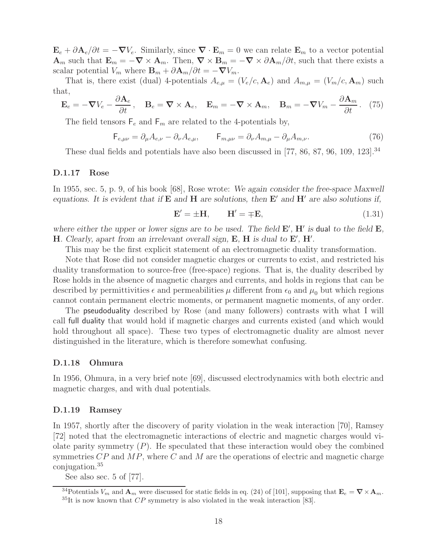$\mathbf{E}_e + \partial \mathbf{A}_e / \partial t = -\nabla V_e$ . Similarly, since  $\nabla \cdot \mathbf{E}_m = 0$  we can relate  $\mathbf{E}_m$  to a vector potential  $\mathbf{A}_m$  such that  $\mathbf{E}_m = -\nabla \times \mathbf{A}_m$ . Then,  $\nabla \times \mathbf{B}_m = -\nabla \times \partial \mathbf{A}_m / \partial t$ , such that there exists a scalar potential  $V_m$  where  $\mathbf{B}_m + \partial \mathbf{A}_m / \partial t = -\nabla V_m$ .

That is, there exist (dual) 4-potentials  $A_{e,\mu} = (V_e/c, \mathbf{A}_e)$  and  $A_{m,\mu} = (V_m/c, \mathbf{A}_m)$  such that,

$$
\mathbf{E}_e = -\boldsymbol{\nabla}V_e - \frac{\partial \mathbf{A}_e}{\partial t}, \quad \mathbf{B}_e = \boldsymbol{\nabla} \times \mathbf{A}_e, \quad \mathbf{E}_m = -\boldsymbol{\nabla} \times \mathbf{A}_m, \quad \mathbf{B}_m = -\boldsymbol{\nabla}V_m - \frac{\partial \mathbf{A}_m}{\partial t}. \tag{75}
$$

The field tensors  $\mathsf{F}_e$  and  $\mathsf{F}_m$  are related to the 4-potentials by,

$$
\mathsf{F}_{e,\mu\nu} = \partial_{\mu}A_{e,\nu} - \partial_{\nu}A_{e,\mu}, \qquad \mathsf{F}_{m,\mu\nu} = \partial_{\nu}A_{m,\mu} - \partial_{\mu}A_{m,\nu}.
$$
\n(76)

These dual fields and potentials have also been discussed in [77, 86, 87, 96, 109, 123].<sup>34</sup>

#### **D.1.17 Rose**

In 1955, sec. 5, p. 9, of his book [68], Rose wrote: *We again consider the free-space Maxwell equations. It is evident that if*  $\bf{E}$  *and*  $\bf{H}$  *are solutions, then*  $\bf{E}'$  *and*  $\bf{H}'$  *are also solutions if,* 

$$
\mathbf{E}' = \pm \mathbf{H}, \qquad \mathbf{H}' = \mp \mathbf{E}, \tag{1.31}
$$

where either the upper or lower signs are to be used. The field  $\mathbf{E}'$ ,  $\mathbf{H}'$  is dual to the field  $\mathbf{E}$ , **H***. Clearly, apart from an irrelevant overall sign,*  $\mathbf{E}$ *,*  $\mathbf{H}$  *is dual to*  $\mathbf{E}'$ *,*  $\mathbf{H}'$ *.* 

This may be the first explicit statement of an electromagnetic duality transformation.

Note that Rose did not consider magnetic charges or currents to exist, and restricted his duality transformation to source-free (free-space) regions. That is, the duality described by Rose holds in the absence of magnetic charges and currents, and holds in regions that can be described by permittivities  $\epsilon$  and permeabilities  $\mu$  different from  $\epsilon_0$  and  $\mu_0$  but which regions cannot contain permanent electric moments, or permanent magnetic moments, of any order.

The pseudoduality described by Rose (and many followers) contrasts with what I will call full duality that would hold if magnetic charges and currents existed (and which would hold throughout all space). These two types of electromagnetic duality are almost never distinguished in the literature, which is therefore somewhat confusing.

#### **D.1.18 Ohmura**

In 1956, Ohmura, in a very brief note [69], discussed electrodynamics with both electric and magnetic charges, and with dual potentials.

#### **D.1.19 Ramsey**

In 1957, shortly after the discovery of parity violation in the weak interaction [70], Ramsey [72] noted that the electromagnetic interactions of electric and magnetic charges would violate parity symmetry  $(P)$ . He speculated that these interaction would obey the combined symmetries  $\mathbb{CP}$  and  $\mathbb{MP}$ , where  $\mathbb C$  and  $\mathbb M$  are the operations of electric and magnetic charge conjugation.<sup>35</sup>

See also sec. 5 of [77].

<sup>&</sup>lt;sup>34</sup>Potentials  $V_m$  and  $\mathbf{A}_m$  were discussed for static fields in eq. (24) of [101], supposing that  $\mathbf{E}_e = \nabla \times \mathbf{A}_m$ .<br><sup>35</sup>It is now known that *CP* symmetry is also violated in the weak interaction [83].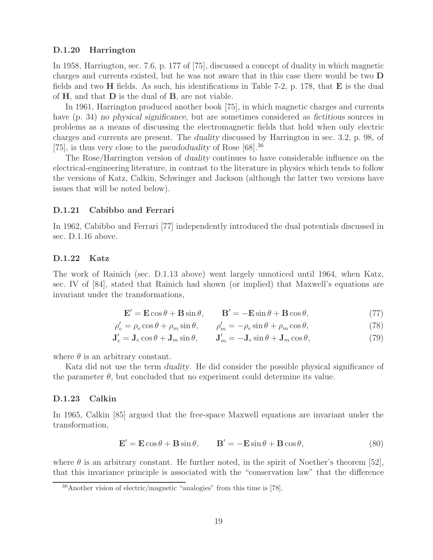#### **D.1.20 Harrington**

In 1958, Harrington, sec. 7.6, p. 177 of [75], discussed a concept of duality in which magnetic charges and currents existed, but he was not aware that in this case there would be two **D** fields and two **H** fields. As such, his identifications in Table 7-2, p. 178, that **E** is the dual of **H**, and that **D** is the dual of **B**, are not viable.

In 1961, Harrington produced another book [75], in which magnetic charges and currents have (p. 34) *no physical significance*, but are sometimes considered as *fictitious* sources in problems as a means of discussing the electromagnetic fields that hold when only electric charges and currents are present. The *duality* discussed by Harrington in sec. 3.2, p. 98, of [75], is thus very close to the *pseudoduality* of Rose [68].<sup>36</sup>

The Rose/Harrington version of *duality* continues to have considerable influence on the electrical-engineering literature, in contrast to the literature in physics which tends to follow the versions of Katz, Calkin, Schwinger and Jackson (although the latter two versions have issues that will be noted below).

#### **D.1.21 Cabibbo and Ferrari**

In 1962, Cabibbo and Ferrari [77] independently introduced the dual potentials discussed in sec. D.1.16 above.

#### **D.1.22 Katz**

The work of Rainich (sec. D.1.13 above) went largely unnoticed until 1964, when Katz, sec. IV of [84], stated that Rainich had shown (or implied) that Maxwell's equations are invariant under the transformations,

$$
\mathbf{E}' = \mathbf{E}\cos\theta + \mathbf{B}\sin\theta, \qquad \mathbf{B}' = -\mathbf{E}\sin\theta + \mathbf{B}\cos\theta,\tag{77}
$$

$$
\rho_e' = \rho_e \cos \theta + \rho_m \sin \theta, \qquad \rho_m' = -\rho_e \sin \theta + \rho_m \cos \theta,\tag{78}
$$

$$
\mathbf{J}'_e = \mathbf{J}_e \cos \theta + \mathbf{J}_m \sin \theta, \qquad \mathbf{J}'_m = -\mathbf{J}_e \sin \theta + \mathbf{J}_m \cos \theta,\tag{79}
$$

where  $\theta$  is an arbitrary constant.

Katz did not use the term *duality*. He did consider the possible physical significance of the parameter  $\theta$ , but concluded that no experiment could determine its value.

#### **D.1.23 Calkin**

In 1965, Calkin [85] argued that the free-space Maxwell equations are invariant under the transformation,

$$
\mathbf{E}' = \mathbf{E}\cos\theta + \mathbf{B}\sin\theta, \qquad \mathbf{B}' = -\mathbf{E}\sin\theta + \mathbf{B}\cos\theta,\tag{80}
$$

where  $\theta$  is an arbitrary constant. He further noted, in the spirit of Noether's theorem [52], that this invariance principle is associated with the "conservation law" that the difference

<sup>36</sup>Another vision of electric/magnetic "analogies" from this time is [78].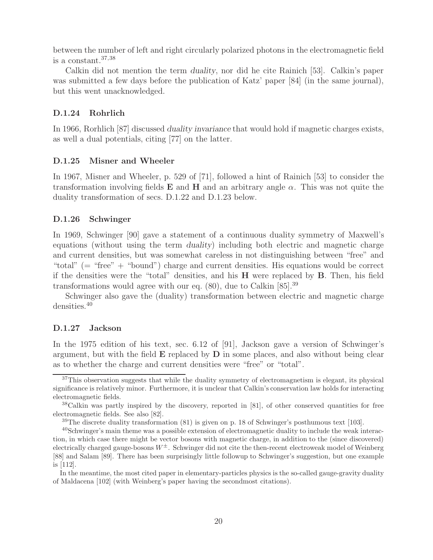between the number of left and right circularly polarized photons in the electromagnetic field is a constant.37,38

Calkin did not mention the term *duality*, nor did he cite Rainich [53]. Calkin's paper was submitted a few days before the publication of Katz' paper [84] (in the same journal), but this went unacknowledged.

## **D.1.24 Rohrlich**

In 1966, Rorhlich [87] discussed *duality invariance* that would hold if magnetic charges exists, as well a dual potentials, citing [77] on the latter.

## **D.1.25 Misner and Wheeler**

In 1967, Misner and Wheeler, p. 529 of [71], followed a hint of Rainich [53] to consider the transformation involving fields **E** and **H** and an arbitrary angle  $\alpha$ . This was not quite the duality transformation of secs. D.1.22 and D.1.23 below.

## **D.1.26 Schwinger**

In 1969, Schwinger [90] gave a statement of a continuous duality symmetry of Maxwell's equations (without using the term *duality*) including both electric and magnetic charge and current densities, but was somewhat careless in not distinguishing between "free" and "total" (= "free" + "bound") charge and current densities. His equations would be correct if the densities were the "total" densities, and his **H** were replaced by **B**. Then, his field transformations would agree with our eq.  $(80)$ , due to Calkin  $[85]$ <sup>39</sup>

Schwinger also gave the (duality) transformation between electric and magnetic charge densities.<sup>40</sup>

## **D.1.27 Jackson**

In the 1975 edition of his text, sec. 6.12 of [91], Jackson gave a version of Schwinger's argument, but with the field **E** replaced by **D** in some places, and also without being clear as to whether the charge and current densities were "free" or "total".

<sup>&</sup>lt;sup>37</sup>This observation suggests that while the duality symmetry of electromagnetism is elegant, its physical significance is relatively minor. Furthermore, it is unclear that Calkin's conservation law holds for interacting electromagnetic fields.

<sup>&</sup>lt;sup>38</sup>Calkin was partly inspired by the discovery, reported in [81], of other conserved quantities for free electromagnetic fields. See also [82].

 $39$ The discrete duality transformation (81) is given on p. 18 of Schwinger's posthumous text [103].

<sup>40</sup>Schwinger's main theme was a possible extension of electromagnetic duality to include the weak interaction, in which case there might be vector bosons with magnetic charge, in addition to the (since discovered) electrically charged gauge-bosons  $W^{\pm}$ . Schwinger did not cite the then-recent electroweak model of Weinberg [88] and Salam [89]. There has been surprisingly little followup to Schwinger's suggestion, but one example is [112].

In the meantime, the most cited paper in elementary-particles physics is the so-called gauge-gravity duality of Maldacena [102] (with Weinberg's paper having the secondmost citations).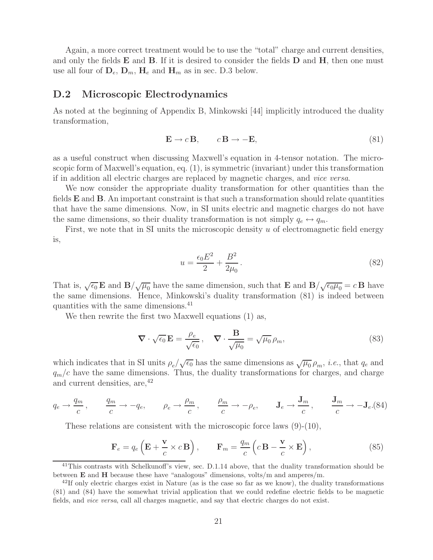Again, a more correct treatment would be to use the "total" charge and current densities, and only the fields **E** and **B**. If it is desired to consider the fields **D** and **H**, then one must use all four of  $D_e$ ,  $D_m$ ,  $H_e$  and  $H_m$  as in sec. D.3 below.

#### **D.2 Microscopic Electrodynamics**

As noted at the beginning of Appendix B, Minkowski [44] implicitly introduced the duality transformation,

$$
\mathbf{E} \to c \mathbf{B}, \qquad c \mathbf{B} \to -\mathbf{E}, \tag{81}
$$

as a useful construct when discussing Maxwell's equation in 4-tensor notation. The microscopic form of Maxwell's equation, eq. (1), is symmetric (invariant) under this transformation if in addition all electric charges are replaced by magnetic charges, and *vice versa*.

We now consider the appropriate duality transformation for other quantities than the fields **E** and **B**. An important constraint is that such a transformation should relate quantities that have the same dimensions. Now, in SI units electric and magnetic charges do not have the same dimensions, so their duality transformation is not simply  $q_e \leftrightarrow q_m$ .

First, we note that in SI units the microscopic density  $u$  of electromagnetic field energy is,

$$
u = \frac{\epsilon_0 E^2}{2} + \frac{B^2}{2\mu_0}.
$$
\n(82)

That is,  $\sqrt{\epsilon_0} \mathbf{E}$  and  $\mathbf{B}/\sqrt{\mu_0}$  have the same dimension, such that  $\mathbf{E}$  and  $\mathbf{B}/\sqrt{\epsilon_0\mu_0} = c\mathbf{B}$  have the same dimensions. Hence, Minkowski's duality transformation (81) is indeed between quantities with the same dimensions.<sup>41</sup>

We then rewrite the first two Maxwell equations (1) as,

$$
\nabla \cdot \sqrt{\epsilon_0} \mathbf{E} = \frac{\rho_e}{\sqrt{\epsilon_0}}, \quad \nabla \cdot \frac{\mathbf{B}}{\sqrt{\mu_0}} = \sqrt{\mu_0} \rho_m,
$$
\n(83)

which indicates that in SI units  $\rho_e/\sqrt{\epsilon_0}$  has the same dimensions as  $\sqrt{\mu_0} \rho_m$ , *i.e.*, that  $q_e$  and  $q_m/c$  have the same dimensions. Thus, the duality transformations for charges, and charge and current densities, are,  $42$ 

$$
q_e \rightarrow \frac{q_m}{c}
$$
,  $\frac{q_m}{c} \rightarrow -q_e$ ,  $\rho_e \rightarrow \frac{\rho_m}{c}$ ,  $\frac{\rho_m}{c} \rightarrow -\rho_e$ ,  $\mathbf{J}_e \rightarrow \frac{\mathbf{J}_m}{c}$ ,  $\frac{\mathbf{J}_m}{c} \rightarrow -\mathbf{J}_e$ . (84)

These relations are consistent with the microscopic force laws (9)-(10),

$$
\mathbf{F}_e = q_e \left( \mathbf{E} + \frac{\mathbf{v}}{c} \times c \mathbf{B} \right), \qquad \mathbf{F}_m = \frac{q_m}{c} \left( c \mathbf{B} - \frac{\mathbf{v}}{c} \times \mathbf{E} \right), \tag{85}
$$

<sup>&</sup>lt;sup>41</sup>This contrasts with Schelkunoff's view, sec. D.1.14 above, that the duality transformation should be between **E** and **H** because these have "analogous" dimensions, volts/m and amperes/m.

 $^{42}$ If only electric charges exist in Nature (as is the case so far as we know), the duality transformations (81) and (84) have the somewhat trivial application that we could redefine electric fields to be magnetic fields, and *vice versa*, call all charges magnetic, and say that electric charges do not exist.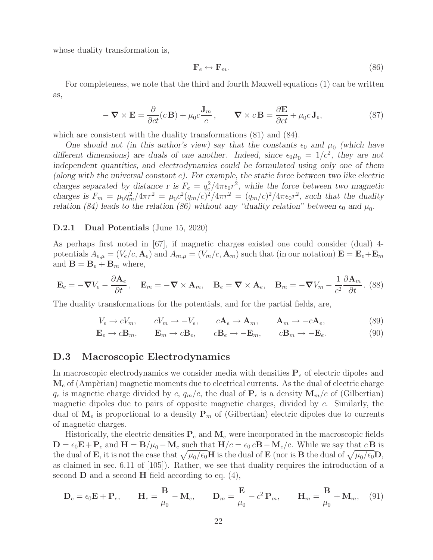whose duality transformation is,

$$
\mathbf{F}_e \leftrightarrow \mathbf{F}_m. \tag{86}
$$

For completeness, we note that the third and fourth Maxwell equations (1) can be written as,

$$
-\nabla \times \mathbf{E} = \frac{\partial}{\partial ct}(c\mathbf{B}) + \mu_0 c \frac{\mathbf{J}_m}{c}, \qquad \nabla \times c\mathbf{B} = \frac{\partial \mathbf{E}}{\partial ct} + \mu_0 c \mathbf{J}_e,
$$
\n(87)

which are consistent with the duality transformations  $(81)$  and  $(84)$ .

*One should not (in this author's view) say that the constants*  $\epsilon_0$  *and*  $\mu_0$  (which have *different dimensions) are duals of one another. Indeed, since*  $\epsilon_0\mu_0 = 1/c^2$ , they are not *independent quantities, and electrodynamics could be formulated using only one of them (along with the universal constant* c*). For example, the static force between two like electric charges separated by distance r is*  $F_e = q_e^2 / 4\pi \epsilon_0 r^2$ , while the force between two magnetic *charges is*  $F_m = \mu_0 q_m^2 / 4\pi r^2 = \mu_0 c^2 (q_m/c)^2 / 4\pi r^2 = (q_m/c)^2 / 4\pi \epsilon_0 r^2$ , such that the duality *relation (84) leads to the relation (86) without any "duality relation" between*  $\epsilon_0$  *and*  $\mu_0$ .

#### **D.2.1 Dual Potentials** (June 15, 2020)

As perhaps first noted in [67], if magnetic charges existed one could consider (dual) 4 potentials  $A_{e,\mu} = (V_e/c, \mathbf{A}_e)$  and  $A_{m,\mu} = (V_m/c, \mathbf{A}_m)$  such that (in our notation)  $\mathbf{E} = \mathbf{E}_e + \mathbf{E}_m$ and  $\mathbf{B} = \mathbf{B}_e + \mathbf{B}_m$  where,

$$
\mathbf{E}_e = -\boldsymbol{\nabla}V_e - \frac{\partial \mathbf{A}_e}{\partial t}, \quad \mathbf{E}_m = -\boldsymbol{\nabla} \times \mathbf{A}_m, \quad \mathbf{B}_e = \boldsymbol{\nabla} \times \mathbf{A}_e, \quad \mathbf{B}_m = -\boldsymbol{\nabla}V_m - \frac{1}{c^2} \frac{\partial \mathbf{A}_m}{\partial t}. \tag{88}
$$

The duality transformations for the potentials, and for the partial fields, are,

$$
V_e \to cV_m, \t cV_m \to -V_e, \t cA_e \to A_m, \t A_m \to -cA_e,
$$
  
\n
$$
\mathbf{E}_e \to c\mathbf{B}_m, \t \mathbf{E}_m \to c\mathbf{B}_e, \t c\mathbf{B}_e \to -\mathbf{E}_m, \t c\mathbf{B}_m \to -\mathbf{E}_e.
$$
  
\n(89)

#### **D.3 Macroscopic Electrodynamics**

In macroscopic electrodynamics we consider media with densities **P**<sup>e</sup> of electric dipoles and  $\mathbf{M}_e$  of (Ampèrian) magnetic moments due to electrical currents. As the dual of electric charge  $q_e$  is magnetic charge divided by c,  $q_m/c$ , the dual of  $P_e$  is a density  $M_m/c$  of (Gilbertian) magnetic dipoles due to pairs of opposite magnetic charges, divided by c. Similarly, the dual of  $\mathbf{M}_e$  is proportional to a density  $\mathbf{P}_m$  of (Gilbertian) electric dipoles due to currents of magnetic charges.

Historically, the electric densities  $P_e$  and  $M_e$  were incorporated in the macroscopic fields  $\mathbf{D} = \epsilon_0 \mathbf{E} + \mathbf{P}_e$  and  $\mathbf{H} = \mathbf{B}/\mu_0 - \mathbf{M}_e$  such that  $\mathbf{H}/c = \epsilon_0 c \mathbf{B} - \mathbf{M}_e/c$ . While we say that  $c \mathbf{B}$  is the dual of **E**, it is not the case that  $\sqrt{\mu_0/\epsilon_0}$ **H** is the dual of **E** (nor is **B** the dual of  $\sqrt{\mu_0/\epsilon_0}$ **D**, as claimed in sec. 6.11 of [105]). Rather, we see that duality requires the introduction of a second **D** and a second **H** field according to eq. (4),

$$
\mathbf{D}_e = \epsilon_0 \mathbf{E} + \mathbf{P}_e, \qquad \mathbf{H}_e = \frac{\mathbf{B}}{\mu_0} - \mathbf{M}_e, \qquad \mathbf{D}_m = \frac{\mathbf{E}}{\mu_0} - c^2 \mathbf{P}_m, \qquad \mathbf{H}_m = \frac{\mathbf{B}}{\mu_0} + \mathbf{M}_m, \tag{91}
$$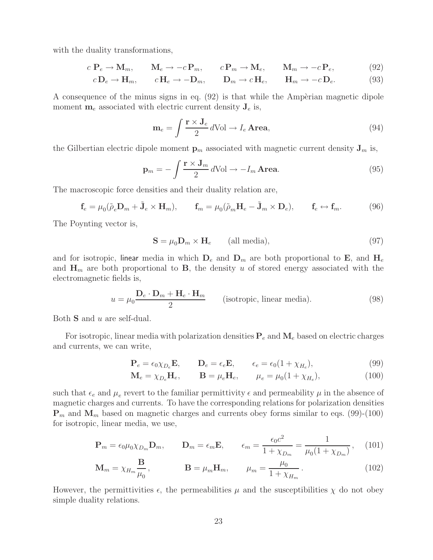with the duality transformations,

$$
c \, \mathbf{P}_e \to \mathbf{M}_m, \qquad \mathbf{M}_e \to -c \, \mathbf{P}_m, \qquad c \, \mathbf{P}_m \to \mathbf{M}_e, \qquad \mathbf{M}_m \to -c \, \mathbf{P}_e,\tag{92}
$$

$$
c\mathbf{D}_e \to \mathbf{H}_m, \qquad c\mathbf{H}_e \to -\mathbf{D}_m, \qquad \mathbf{D}_m \to c\mathbf{H}_e, \qquad \mathbf{H}_m \to -c\mathbf{D}_e. \tag{93}
$$

A consequence of the minus signs in eq.  $(92)$  is that while the Ampèrian magnetic dipole moment  $\mathbf{m}_e$  associated with electric current density  $\mathbf{J}_e$  is,

$$
\mathbf{m}_e = \int \frac{\mathbf{r} \times \mathbf{J}_e}{2} d\text{Vol} \to I_e \text{Area},\tag{94}
$$

the Gilbertian electric dipole moment  $\mathbf{p}_m$  associated with magnetic current density  $\mathbf{J}_m$  is,

$$
\mathbf{p}_m = -\int \frac{\mathbf{r} \times \mathbf{J}_m}{2} \, d\text{Vol} \to -I_m \, \text{Area.} \tag{95}
$$

The macroscopic force densities and their duality relation are,

$$
\mathbf{f}_e = \mu_0(\tilde{\rho}_e \mathbf{D}_m + \tilde{\mathbf{J}}_e \times \mathbf{H}_m), \qquad \mathbf{f}_m = \mu_0(\tilde{\rho}_m \mathbf{H}_e - \tilde{\mathbf{J}}_m \times \mathbf{D}_e), \qquad \mathbf{f}_e \leftrightarrow \mathbf{f}_m. \tag{96}
$$

The Poynting vector is,

$$
\mathbf{S} = \mu_0 \mathbf{D}_m \times \mathbf{H}_e \qquad \text{(all media)},\tag{97}
$$

and for isotropic, linear media in which  $D_e$  and  $D_m$  are both proportional to **E**, and  $H_e$ and  $\mathbf{H}_m$  are both proportional to **B**, the density u of stored energy associated with the electromagnetic fields is,

$$
u = \mu_0 \frac{\mathbf{D}_e \cdot \mathbf{D}_m + \mathbf{H}_e \cdot \mathbf{H}_m}{2}
$$
 (isotropic, linear media). (98)

Both **S** and u are self-dual.

For isotropic, linear media with polarization densities  $P_e$  and  $M_e$  based on electric charges and currents, we can write,

$$
\mathbf{P}_e = \epsilon_0 \chi_{D_e} \mathbf{E}, \qquad \mathbf{D}_e = \epsilon_e \mathbf{E}, \qquad \epsilon_e = \epsilon_0 (1 + \chi_{H_e}), \tag{99}
$$

$$
\mathbf{M}_e = \chi_{D_e} \mathbf{H}_e, \qquad \mathbf{B} = \mu_e \mathbf{H}_e, \qquad \mu_e = \mu_0 (1 + \chi_{H_e}), \tag{100}
$$

such that  $\epsilon_e$  and  $\mu_e$  revert to the familiar permittivity  $\epsilon$  and permeability  $\mu$  in the absence of magnetic charges and currents. To have the corresponding relations for polarization densities  $\mathbf{P}_m$  and  $\mathbf{M}_m$  based on magnetic charges and currents obey forms similar to eqs. (99)-(100) for isotropic, linear media, we use,

$$
\mathbf{P}_m = \epsilon_0 \mu_0 \chi_{D_m} \mathbf{D}_m, \qquad \mathbf{D}_m = \epsilon_m \mathbf{E}, \qquad \epsilon_m = \frac{\epsilon_0 c^2}{1 + \chi_{D_m}} = \frac{1}{\mu_0 (1 + \chi_{D_m})}, \quad (101)
$$

$$
\mathbf{M}_m = \chi_{H_m} \frac{\mathbf{B}}{\mu_0}, \qquad \qquad \mathbf{B} = \mu_m \mathbf{H}_m, \qquad \mu_m = \frac{\mu_0}{1 + \chi_{H_m}}.
$$
\n(102)

However, the permittivities  $\epsilon$ , the permeabilities  $\mu$  and the susceptibilities  $\chi$  do not obey simple duality relations.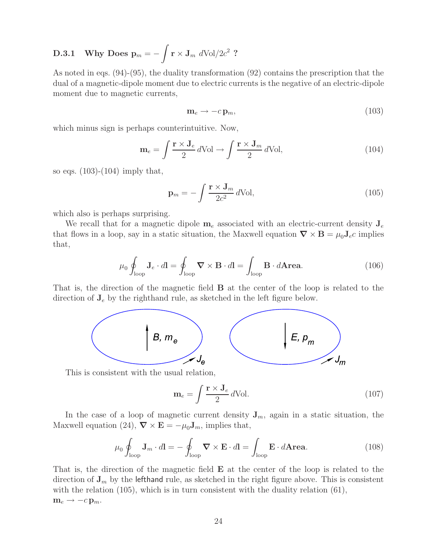# $\textbf{D.3.1} \quad \textbf{Why Does } \textbf{p}_m = -\int \textbf{r} \times \textbf{J}_m \ d\text{Vol}/2c^2 \,\, ?$

As noted in eqs. (94)-(95), the duality transformation (92) contains the prescription that the dual of a magnetic-dipole moment due to electric currents is the negative of an electric-dipole moment due to magnetic currents,

$$
\mathbf{m}_e \to -c\,\mathbf{p}_m,\tag{103}
$$

which minus sign is perhaps counterintuitive. Now,

$$
\mathbf{m}_e = \int \frac{\mathbf{r} \times \mathbf{J}_e}{2} d\text{Vol} \to \int \frac{\mathbf{r} \times \mathbf{J}_m}{2} d\text{Vol},\tag{104}
$$

so eqs.  $(103)-(104)$  imply that,

$$
\mathbf{p}_m = -\int \frac{\mathbf{r} \times \mathbf{J}_m}{2c^2} d\text{Vol},\tag{105}
$$

which also is perhaps surprising.

We recall that for a magnetic dipole  $m_e$  associated with an electric-current density  $J_e$ that flows in a loop, say in a static situation, the Maxwell equation  $\nabla \times \mathbf{B} = \mu_0 \mathbf{J}_e c$  implies that,

$$
\mu_0 \oint_{\text{loop}} \mathbf{J}_e \cdot d\mathbf{l} = \oint_{\text{loop}} \mathbf{\nabla} \times \mathbf{B} \cdot d\mathbf{l} = \int_{\text{loop}} \mathbf{B} \cdot d\mathbf{Area}.
$$
 (106)

That is, the direction of the magnetic field **B** at the center of the loop is related to the direction of  $J_e$  by the righthand rule, as sketched in the left figure below.



This is consistent with the usual relation,

$$
\mathbf{m}_e = \int \frac{\mathbf{r} \times \mathbf{J}_e}{2} d\text{Vol.}
$$
 (107)

In the case of a loop of magnetic current density  $J_m$ , again in a static situation, the Maxwell equation (24),  $\nabla \times \mathbf{E} = -\mu_0 \mathbf{J}_m$ , implies that,

$$
\mu_0 \oint_{\text{loop}} \mathbf{J}_m \cdot d\mathbf{l} = -\oint_{\text{loop}} \mathbf{\nabla} \times \mathbf{E} \cdot d\mathbf{l} = \int_{\text{loop}} \mathbf{E} \cdot d\mathbf{Area}.
$$
 (108)

That is, the direction of the magnetic field **E** at the center of the loop is related to the direction of  $J_m$  by the lefthand rule, as sketched in the right figure above. This is consistent with the relation (105), which is in turn consistent with the duality relation (61),  $m_e \rightarrow -c p_m$ .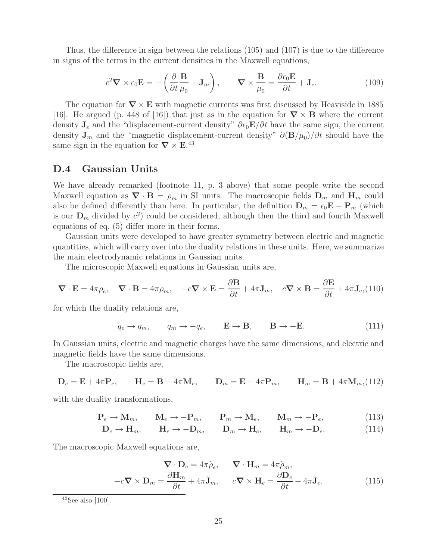Thus, the difference in sign between the relations (105) and (107) is due to the difference in signs of the terms in the current densities in the Maxwell equations,

$$
c^2 \nabla \times \epsilon_0 \mathbf{E} = -\left(\frac{\partial}{\partial t} \frac{\mathbf{B}}{\mu_0} + \mathbf{J}_m\right), \qquad \nabla \times \frac{\mathbf{B}}{\mu_0} = \frac{\partial \epsilon_0 \mathbf{E}}{\partial t} + \mathbf{J}_e. \tag{109}
$$

The equation for *∇* × **E** with magnetic currents was first discussed by Heaviside in 1885 [16]. He argued (p. 448 of [16]) that just as in the equation for  $\nabla \times \mathbf{B}$  where the current density  $J_e$  and the "displacement-current density"  $\partial \epsilon_0 \mathbf{E}/\partial t$  have the same sign, the current density  $J_m$  and the "magnetic displacement-current density"  $\partial (\mathbf{B}/\mu_0)/\partial t$  should have the same sign in the equation for  $\nabla \times \mathbf{E}^{43}$ 

## **D.4 Gaussian Units**

We have already remarked (footnote 11, p. 3 above) that some people write the second Maxwell equation as  $\nabla \cdot \mathbf{B} = \rho_m$  in SI units. The macroscopic fields  $\mathbf{D}_m$  and  $\mathbf{H}_m$  could also be defined differently than here. In particular, the definition  $\mathbf{D}_m = \epsilon_0 \mathbf{E} - \mathbf{P}_m$  (which is our  $\mathbf{D}_m$  divided by  $c^2$ ) could be considered, although then the third and fourth Maxwell equations of eq. (5) differ more in their forms.

Gaussian units were developed to have greater symmetry between electric and magnetic quantities, which will carry over into the duality relations in these units. Here, we summarize the main electrodynamic relations in Gaussian units.

The microscopic Maxwell equations in Gaussian units are,

$$
\nabla \cdot \mathbf{E} = 4\pi \rho_e, \quad \nabla \cdot \mathbf{B} = 4\pi \rho_m, \quad -c\nabla \times \mathbf{E} = \frac{\partial \mathbf{B}}{\partial t} + 4\pi \mathbf{J}_m, \quad c\nabla \times \mathbf{B} = \frac{\partial \mathbf{E}}{\partial t} + 4\pi \mathbf{J}_e, \text{(110)}
$$

for which the duality relations are,

$$
q_e \rightarrow q_m
$$
,  $q_m \rightarrow -q_e$ ,  $\mathbf{E} \rightarrow \mathbf{B}$ ,  $\mathbf{B} \rightarrow -\mathbf{E}$ . (111)

In Gaussian units, electric and magnetic charges have the same dimensions, and electric and magnetic fields have the same dimensions.

The macroscopic fields are,

$$
\mathbf{D}_e = \mathbf{E} + 4\pi \mathbf{P}_e, \qquad \mathbf{H}_e = \mathbf{B} - 4\pi \mathbf{M}_e, \qquad \mathbf{D}_m = \mathbf{E} - 4\pi \mathbf{P}_m, \qquad \mathbf{H}_m = \mathbf{B} + 4\pi \mathbf{M}_m, (112)
$$

with the duality transformations,

$$
\mathbf{P}_e \to \mathbf{M}_m, \qquad \mathbf{M}_e \to -\mathbf{P}_m, \qquad \mathbf{P}_m \to \mathbf{M}_e, \qquad \mathbf{M}_m \to -\mathbf{P}_e,\tag{113}
$$

$$
\mathbf{D}_e \to \mathbf{H}_m, \qquad \mathbf{H}_e \to -\mathbf{D}_m, \qquad \mathbf{D}_m \to \mathbf{H}_e, \qquad \mathbf{H}_m \to -\mathbf{D}_e. \tag{114}
$$

The macroscopic Maxwell equations are,

$$
\nabla \cdot \mathbf{D}_e = 4\pi \tilde{\rho}_e, \qquad \nabla \cdot \mathbf{H}_m = 4\pi \tilde{\rho}_m,
$$
  

$$
-c\nabla \times \mathbf{D}_m = \frac{\partial \mathbf{H}_m}{\partial t} + 4\pi \tilde{\mathbf{J}}_m, \qquad c\nabla \times \mathbf{H}_e = \frac{\partial \mathbf{D}_e}{\partial t} + 4\pi \tilde{\mathbf{J}}_e.
$$
(115)

 $43$ See also [100].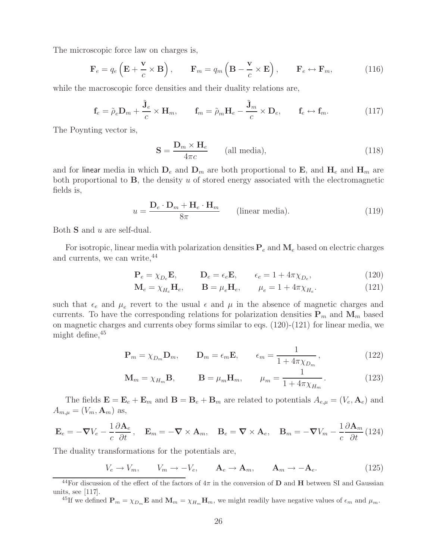The microscopic force law on charges is,

$$
\mathbf{F}_e = q_e \left( \mathbf{E} + \frac{\mathbf{v}}{c} \times \mathbf{B} \right), \qquad \mathbf{F}_m = q_m \left( \mathbf{B} - \frac{\mathbf{v}}{c} \times \mathbf{E} \right), \qquad \mathbf{F}_e \leftrightarrow \mathbf{F}_m,
$$
 (116)

while the macroscopic force densities and their duality relations are,

$$
\mathbf{f}_e = \tilde{\rho}_e \mathbf{D}_m + \frac{\tilde{\mathbf{J}}_e}{c} \times \mathbf{H}_m, \qquad \mathbf{f}_m = \tilde{\rho}_m \mathbf{H}_e - \frac{\tilde{\mathbf{J}}_m}{c} \times \mathbf{D}_e, \qquad \mathbf{f}_e \leftrightarrow \mathbf{f}_m.
$$
 (117)

The Poynting vector is,

$$
\mathbf{S} = \frac{\mathbf{D}_m \times \mathbf{H}_e}{4\pi c} \qquad \text{(all media)},\tag{118}
$$

and for linear media in which  $D_e$  and  $D_m$  are both proportional to **E**, and  $H_e$  and  $H_m$  are both proportional to **B**, the density u of stored energy associated with the electromagnetic fields is,

$$
u = \frac{\mathbf{D}_e \cdot \mathbf{D}_m + \mathbf{H}_e \cdot \mathbf{H}_m}{8\pi} \qquad \text{(linear media)}.
$$
 (119)

Both **S** and u are self-dual.

For isotropic, linear media with polarization densities  $P_e$  and  $M_e$  based on electric charges and currents, we can write,  $44$ 

$$
\mathbf{P}_e = \chi_{D_e} \mathbf{E}, \qquad \mathbf{D}_e = \epsilon_e \mathbf{E}, \qquad \epsilon_e = 1 + 4\pi \chi_{D_e}, \tag{120}
$$

$$
\mathbf{M}_e = \chi_{H_e} \mathbf{H}_e, \qquad \mathbf{B} = \mu_e \mathbf{H}_e, \qquad \mu_e = 1 + 4\pi \chi_{H_e}.
$$
 (121)

such that  $\epsilon_e$  and  $\mu_e$  revert to the usual  $\epsilon$  and  $\mu$  in the absence of magnetic charges and currents. To have the corresponding relations for polarization densities  $P_m$  and  $M_m$  based on magnetic charges and currents obey forms similar to eqs. (120)-(121) for linear media, we might define,  $45$ 

$$
\mathbf{P}_m = \chi_{D_m} \mathbf{D}_m, \qquad \mathbf{D}_m = \epsilon_m \mathbf{E}, \qquad \epsilon_m = \frac{1}{1 + 4\pi \chi_{D_m}}, \qquad (122)
$$

$$
\mathbf{M}_m = \chi_{H_m} \mathbf{B}, \qquad \mathbf{B} = \mu_m \mathbf{H}_m, \qquad \mu_m = \frac{1}{1 + 4\pi \chi_{H_m}}.
$$
 (123)

The fields  $\mathbf{E} = \mathbf{E}_e + \mathbf{E}_m$  and  $\mathbf{B} = \mathbf{B}_e + \mathbf{B}_m$  are related to potentials  $A_{e,\mu} = (V_e, \mathbf{A}_e)$  and  $A_{m,\mu} = (V_m, \mathbf{A}_m)$  as,

$$
\mathbf{E}_e = -\boldsymbol{\nabla}V_e - \frac{1}{c}\frac{\partial \mathbf{A}_e}{\partial t}, \quad \mathbf{E}_m = -\boldsymbol{\nabla} \times \mathbf{A}_m, \quad \mathbf{B}_e = \boldsymbol{\nabla} \times \mathbf{A}_e, \quad \mathbf{B}_m = -\boldsymbol{\nabla}V_m - \frac{1}{c}\frac{\partial \mathbf{A}_m}{\partial t} (124)
$$

The duality transformations for the potentials are,

$$
V_e \to V_m, \qquad V_m \to -V_e, \qquad \mathbf{A}_e \to \mathbf{A}_m, \qquad \mathbf{A}_m \to -\mathbf{A}_e. \tag{125}
$$

<sup>45</sup>If we defined  $\mathbf{P}_m = \chi_{D_m} \mathbf{E}$  and  $\mathbf{M}_m = \chi_{H_m} \mathbf{H}_m$ , we might readily have negative values of  $\epsilon_m$  and  $\mu_m$ .

 $^{44}$ For discussion of the effect of the factors of  $4\pi$  in the conversion of **D** and **H** between SI and Gaussian units, see [117].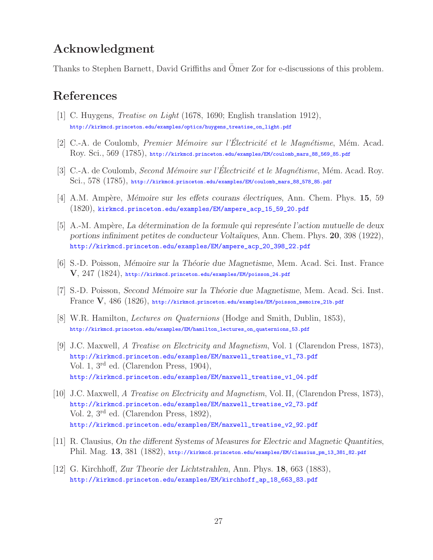# **Acknowledgment**

Thanks to Stephen Barnett, David Griffiths and Omer Zor for e-discussions of this problem. ¨

# **References**

- [1] C. Huygens, *Treatise on Light* (1678, 1690; English translation 1912), http://kirkmcd.princeton.edu/examples/optics/huygens\_treatise\_on\_light.pdf
- [2] C.-A. de Coulomb, *Premier Mémoire sur l'Électricité et le Magnétisme*, Mém. Acad. Roy. Sci., 569 (1785), http://kirkmcd.princeton.edu/examples/EM/coulomb\_mars\_88\_569\_85.pdf
- [3] C.-A. de Coulomb, *Second Mémoire sur l'Electricité et le Magnétisme*, Mém. Acad. Roy. Sci., 578 (1785), http://kirkmcd.princeton.edu/examples/EM/coulomb\_mars\_88\_578\_85.pdf
- [4] A.M. Ampère, *Mémoire sur les effets courans électriques*, Ann. Chem. Phys. **15**, 59 (1820), kirkmcd.princeton.edu/examples/EM/ampere\_acp\_15\_59\_20.pdf
- [5] A.-M. Amp`ere, *La d´etermination de la formule qui repres´ente l'action mutuelle de deux portions infiniment petites de conducteur Volta¨ıques*, Ann. Chem. Phys. **20**, 398 (1922), http://kirkmcd.princeton.edu/examples/EM/ampere\_acp\_20\_398\_22.pdf
- [6] S.-D. Poisson, *M´emoire sur la Th´eorie due Magnetisme*, Mem. Acad. Sci. Inst. France **V**, 247 (1824), http://kirkmcd.princeton.edu/examples/EM/poisson\_24.pdf
- [7] S.-D. Poisson, *Second M´emoire sur la Th´eorie due Magnetisme*, Mem. Acad. Sci. Inst. France **V**, 486 (1826), http://kirkmcd.princeton.edu/examples/EM/poisson\_memoire\_21b.pdf
- [8] W.R. Hamilton, *Lectures on Quaternions* (Hodge and Smith, Dublin, 1853), http://kirkmcd.princeton.edu/examples/EM/hamilton\_lectures\_on\_quaternions\_53.pdf
- [9] J.C. Maxwell, *A Treatise on Electricity and Magnetism*, Vol. 1 (Clarendon Press, 1873), http://kirkmcd.princeton.edu/examples/EM/maxwell\_treatise\_v1\_73.pdf Vol. 1, 3rd ed. (Clarendon Press, 1904), http://kirkmcd.princeton.edu/examples/EM/maxwell\_treatise\_v1\_04.pdf
- [10] J.C. Maxwell, *A Treatise on Electricity and Magnetism*, Vol. II, (Clarendon Press, 1873), http://kirkmcd.princeton.edu/examples/EM/maxwell\_treatise\_v2\_73.pdf Vol. 2, 3rd ed. (Clarendon Press, 1892), http://kirkmcd.princeton.edu/examples/EM/maxwell\_treatise\_v2\_92.pdf
- [11] R. Clausius, *On the different Systems of Measures for Electric and Magnetic Quantities*, Phil. Mag. **13**, 381 (1882), http://kirkmcd.princeton.edu/examples/EM/clausius\_pm\_13\_381\_82.pdf
- [12] G. Kirchhoff, *Zur Theorie der Lichtstrahlen*, Ann. Phys. **18**, 663 (1883), http://kirkmcd.princeton.edu/examples/EM/kirchhoff\_ap\_18\_663\_83.pdf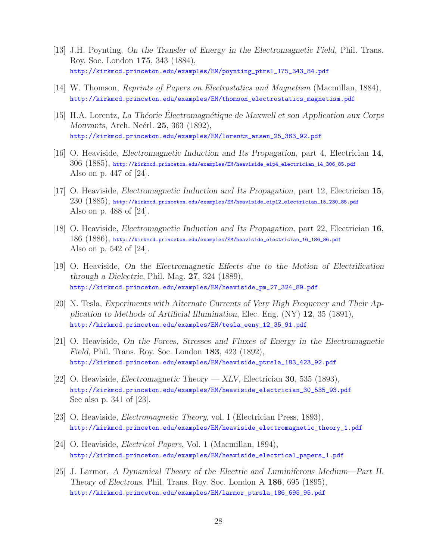- [13] J.H. Poynting, *On the Transfer of Energy in the Electromagnetic Field*, Phil. Trans. Roy. Soc. London **175**, 343 (1884), http://kirkmcd.princeton.edu/examples/EM/poynting\_ptrsl\_175\_343\_84.pdf
- [14] W. Thomson, *Reprints of Papers on Electrostatics and Magnetism* (Macmillan, 1884), http://kirkmcd.princeton.edu/examples/EM/thomson\_electrostatics\_magnetism.pdf
- [15] H.A. Lorentz, *La Théorie Electromagnétique de Maxwell et son Application aux Corps Mouvants*, Arch. Neérl. **25**, 363 (1892), http://kirkmcd.princeton.edu/examples/EM/lorentz\_ansen\_25\_363\_92.pdf
- [16] O. Heaviside, *Electromagnetic Induction and Its Propagation*, part 4, Electrician **14**, 306 (1885), http://kirkmcd.princeton.edu/examples/EM/heaviside\_eip4\_electrician\_14\_306\_85.pdf Also on p. 447 of [24].
- [17] O. Heaviside, *Electromagnetic Induction and Its Propagation*, part 12, Electrician **15**, 230 (1885), http://kirkmcd.princeton.edu/examples/EM/heaviside\_eip12\_electrician\_15\_230\_85.pdf Also on p. 488 of [24].
- [18] O. Heaviside, *Electromagnetic Induction and Its Propagation*, part 22, Electrician **16**, 186 (1886), http://kirkmcd.princeton.edu/examples/EM/heaviside\_electrician\_16\_186\_86.pdf Also on p. 542 of [24].
- [19] O. Heaviside, *On the Electromagnetic Effects due to the Motion of Electrification through a Dielectric*, Phil. Mag. **27**, 324 (1889), http://kirkmcd.princeton.edu/examples/EM/heaviside\_pm\_27\_324\_89.pdf
- [20] N. Tesla, *Experiments with Alternate Currents of Very High Frequency and Their Application to Methods of Artificial Illumination*, Elec. Eng. (NY) **12**, 35 (1891), http://kirkmcd.princeton.edu/examples/EM/tesla\_eeny\_12\_35\_91.pdf
- [21] O. Heaviside, *On the Forces, Stresses and Fluxes of Energy in the Electromagnetic Field*, Phil. Trans. Roy. Soc. London **183**, 423 (1892), http://kirkmcd.princeton.edu/examples/EM/heaviside\_ptrsla\_183\_423\_92.pdf
- [22] O. Heaviside, *Electromagnetic Theory XLV*, Electrician **30**, 535 (1893), http://kirkmcd.princeton.edu/examples/EM/heaviside\_electrician\_30\_535\_93.pdf See also p. 341 of [23].
- [23] O. Heaviside, *Electromagnetic Theory*, vol. I (Electrician Press, 1893), http://kirkmcd.princeton.edu/examples/EM/heaviside\_electromagnetic\_theory\_1.pdf
- [24] O. Heaviside, *Electrical Papers*, Vol. 1 (Macmillan, 1894), http://kirkmcd.princeton.edu/examples/EM/heaviside\_electrical\_papers\_1.pdf
- [25] J. Larmor, *A Dynamical Theory of the Electric and Luminiferous Medium—Part II. Theory of Electrons*, Phil. Trans. Roy. Soc. London A **186**, 695 (1895), http://kirkmcd.princeton.edu/examples/EM/larmor\_ptrsla\_186\_695\_95.pdf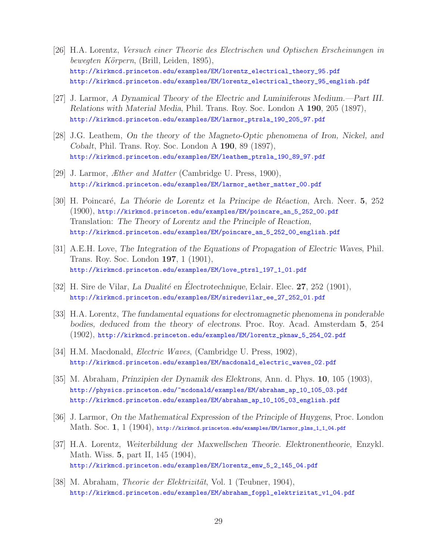- [26] H.A. Lorentz, *Versuch einer Theorie des Electrischen und Optischen Erscheinungen in bewegten K¨orpern*, (Brill, Leiden, 1895), http://kirkmcd.princeton.edu/examples/EM/lorentz\_electrical\_theory\_95.pdf http://kirkmcd.princeton.edu/examples/EM/lorentz\_electrical\_theory\_95\_english.pdf
- [27] J. Larmor, *A Dynamical Theory of the Electric and Luminiferous Medium.—Part III. Relations with Material Media*, Phil. Trans. Roy. Soc. London A **190**, 205 (1897), http://kirkmcd.princeton.edu/examples/EM/larmor\_ptrsla\_190\_205\_97.pdf
- [28] J.G. Leathem, *On the theory of the Magneto-Optic phenomena of Iron, Nickel, and Cobalt*, Phil. Trans. Roy. Soc. London A **190**, 89 (1897), http://kirkmcd.princeton.edu/examples/EM/leathem\_ptrsla\_190\_89\_97.pdf
- [29] J. Larmor, *Æther and Matter* (Cambridge U. Press, 1900), http://kirkmcd.princeton.edu/examples/EM/larmor\_aether\_matter\_00.pdf
- [30] H. Poincaré, *La Théorie de Lorentz et la Principe de Réaction*, Arch. Neer. **5**, 252 (1900), http://kirkmcd.princeton.edu/examples/EM/poincare\_an\_5\_252\_00.pdf Translation: *The Theory of Lorentz and the Principle of Reaction*, http://kirkmcd.princeton.edu/examples/EM/poincare\_an\_5\_252\_00\_english.pdf
- [31] A.E.H. Love, *The Integration of the Equations of Propagation of Electric Waves*, Phil. Trans. Roy. Soc. London **197**, 1 (1901), http://kirkmcd.princeton.edu/examples/EM/love\_ptrsl\_197\_1\_01.pdf
- [32] H. Sire de Vilar, *La Dualité en Électrotechnique*, Eclair. Elec. **27**, 252 (1901), http://kirkmcd.princeton.edu/examples/EM/siredevilar\_ee\_27\_252\_01.pdf
- [33] H.A. Lorentz, *The fundamental equations for electromagnetic phenomena in ponderable bodies, deduced from the theory of electrons*. Proc. Roy. Acad. Amsterdam **5**, 254 (1902), http://kirkmcd.princeton.edu/examples/EM/lorentz\_pknaw\_5\_254\_02.pdf
- [34] H.M. Macdonald, *Electric Waves*, (Cambridge U. Press, 1902), http://kirkmcd.princeton.edu/examples/EM/macdonald\_electric\_waves\_02.pdf
- [35] M. Abraham, *Prinzipien der Dynamik des Elektrons*, Ann. d. Phys. **10**, 105 (1903), http://physics.princeton.edu/~mcdonald/examples/EM/abraham\_ap\_10\_105\_03.pdf http://kirkmcd.princeton.edu/examples/EM/abraham\_ap\_10\_105\_03\_english.pdf
- [36] J. Larmor, *On the Mathematical Expression of the Principle of Huygens*, Proc. London Math. Soc. **1**, 1 (1904), http://kirkmcd.princeton.edu/examples/EM/larmor\_plms\_1\_1\_04.pdf
- [37] H.A. Lorentz, *Weiterbildung der Maxwellschen Theorie. Elektronentheorie*, Enzykl. Math. Wiss. **5**, part II, 145 (1904), http://kirkmcd.princeton.edu/examples/EM/lorentz\_emw\_5\_2\_145\_04.pdf
- [38] M. Abraham, *Theorie der Elektrizität*, Vol. 1 (Teubner, 1904), http://kirkmcd.princeton.edu/examples/EM/abraham\_foppl\_elektrizitat\_v1\_04.pdf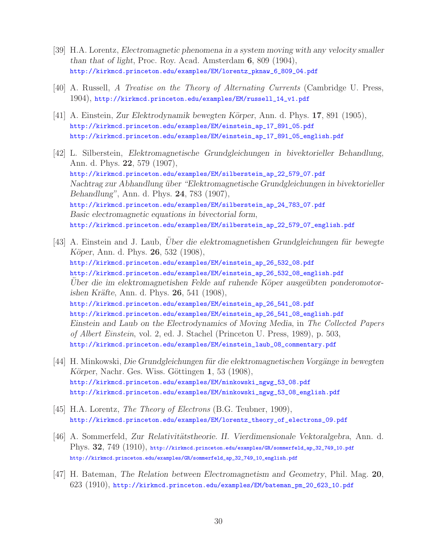- [39] H.A. Lorentz, *Electromagnetic phenomena in a system moving with any velocity smaller than that of light*, Proc. Roy. Acad. Amsterdam **6**, 809 (1904), http://kirkmcd.princeton.edu/examples/EM/lorentz\_pknaw\_6\_809\_04.pdf
- [40] A. Russell, *A Treatise on the Theory of Alternating Currents* (Cambridge U. Press, 1904), http://kirkmcd.princeton.edu/examples/EM/russell\_14\_v1.pdf
- [41] A. Einstein, *Zur Elektrodynamik bewegten K¨orper*, Ann. d. Phys. **17**, 891 (1905), http://kirkmcd.princeton.edu/examples/EM/einstein\_ap\_17\_891\_05.pdf http://kirkmcd.princeton.edu/examples/EM/einstein\_ap\_17\_891\_05\_english.pdf
- [42] L. Silberstein, *Elektromagnetische Grundgleichungen in bivektorieller Behandlung*, Ann. d. Phys. **22**, 579 (1907), http://kirkmcd.princeton.edu/examples/EM/silberstein\_ap\_22\_579\_07.pdf *Nachtrag zur Abhandlung ¨uber "Elektromagnetische Grundgleichungen in bivektorieller Behandlung"*, Ann. d. Phys. **24**, 783 (1907), http://kirkmcd.princeton.edu/examples/EM/silberstein\_ap\_24\_783\_07.pdf *Basic electromagnetic equations in bivectorial form*, http://kirkmcd.princeton.edu/examples/EM/silberstein\_ap\_22\_579\_07\_english.pdf
- [43] A. Einstein and J. Laub, *Uber die elektromagnetishen Grundgleichungen für bewegte K¨oper*, Ann. d. Phys. **26**, 532 (1908), http://kirkmcd.princeton.edu/examples/EM/einstein\_ap\_26\_532\_08.pdf http://kirkmcd.princeton.edu/examples/EM/einstein\_ap\_26\_532\_08\_english.pdf Uber die im elektromagnetishen Felde auf ruhende Köper ausgeübten ponderomotor*ishen Kr¨afte*, Ann. d. Phys. **26**, 541 (1908), http://kirkmcd.princeton.edu/examples/EM/einstein\_ap\_26\_541\_08.pdf http://kirkmcd.princeton.edu/examples/EM/einstein\_ap\_26\_541\_08\_english.pdf *Einstein and Laub on the Electrodynamics of Moving Media*, in *The Collected Papers of Albert Einstein*, vol. 2, ed. J. Stachel (Princeton U. Press, 1989), p. 503, http://kirkmcd.princeton.edu/examples/EM/einstein\_laub\_08\_commentary.pdf
- [44] H. Minkowski, *Die Grundgleichungen für die elektromagnetischen Vorgänge in bewegten Körper*, Nachr. Ges. Wiss. Göttingen **1**, 53 (1908), http://kirkmcd.princeton.edu/examples/EM/minkowski\_ngwg\_53\_08.pdf http://kirkmcd.princeton.edu/examples/EM/minkowski\_ngwg\_53\_08\_english.pdf
- [45] H.A. Lorentz, *The Theory of Electrons* (B.G. Teubner, 1909), http://kirkmcd.princeton.edu/examples/EM/lorentz\_theory\_of\_electrons\_09.pdf
- [46] A. Sommerfeld, *Zur Relativitätstheorie. II. Vierdimensionale Vektoralgebra*, Ann. d. Phys. **32**, 749 (1910), http://kirkmcd.princeton.edu/examples/GR/sommerfeld\_ap\_32\_749\_10.pdf http://kirkmcd.princeton.edu/examples/GR/sommerfeld\_ap\_32\_749\_10\_english.pdf
- [47] H. Bateman, *The Relation between Electromagnetism and Geometry*, Phil. Mag. **20**, 623 (1910), http://kirkmcd.princeton.edu/examples/EM/bateman\_pm\_20\_623\_10.pdf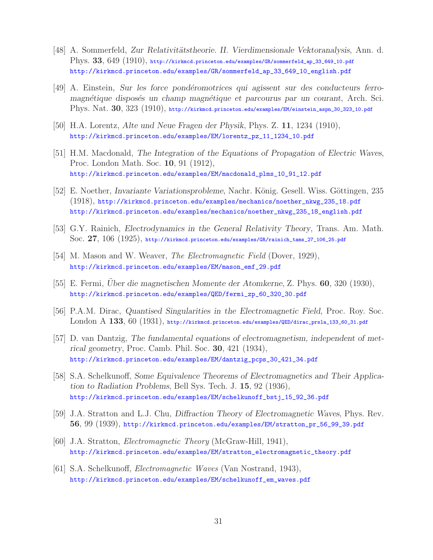- [48] A. Sommerfeld, *Zur Relativitätstheorie. II. Vierdimensionale Vektoranalysis*, Ann. d. Phys. **33**, 649 (1910), http://kirkmcd.princeton.edu/examples/GR/sommerfeld\_ap\_33\_649\_10.pdf http://kirkmcd.princeton.edu/examples/GR/sommerfeld\_ap\_33\_649\_10\_english.pdf
- [49] A. Einstein, *Sur les force pond´eromotrices qui agissent sur des conducteurs ferromagn´etique dispos´es un champ magn´etique et parcourus par un courant*, Arch. Sci. Phys. Nat. **30**, 323 (1910), http://kirkmcd.princeton.edu/examples/EM/einstein\_aspn\_30\_323\_10.pdf
- [50] H.A. Lorentz, *Alte und Neue Fragen der Physik*, Phys. Z. **11**, 1234 (1910), http://kirkmcd.princeton.edu/examples/EM/lorentz\_pz\_11\_1234\_10.pdf
- [51] H.M. Macdonald, *The Integration of the Equations of Propagation of Electric Waves*, Proc. London Math. Soc. **10**, 91 (1912), http://kirkmcd.princeton.edu/examples/EM/macdonald\_plms\_10\_91\_12.pdf
- [52] E. Noether, *Invariante Variationsprobleme*, Nachr. König. Gesell. Wiss. Göttingen, 235 (1918), http://kirkmcd.princeton.edu/examples/mechanics/noether\_nkwg\_235\_18.pdf http://kirkmcd.princeton.edu/examples/mechanics/noether\_nkwg\_235\_18\_english.pdf
- [53] G.Y. Rainich, *Electrodynamics in the General Relativity Theory*, Trans. Am. Math. Soc. **27**, 106 (1925), http://kirkmcd.princeton.edu/examples/GR/rainich\_tams\_27\_106\_25.pdf
- [54] M. Mason and W. Weaver, *The Electromagnetic Field* (Dover, 1929), http://kirkmcd.princeton.edu/examples/EM/mason\_emf\_29.pdf
- [55] E. Fermi, *Uber die magnetischen Momente der Atomkerne*, Z. Phys. **60**, 320 (1930), http://kirkmcd.princeton.edu/examples/QED/fermi\_zp\_60\_320\_30.pdf
- [56] P.A.M. Dirac, *Quantised Singularities in the Electromagnetic Field*, Proc. Roy. Soc. London A **133**, 60 (1931), http://kirkmcd.princeton.edu/examples/QED/dirac\_prsla\_133\_60\_31.pdf
- [57] D. van Dantzig, *The fundamental equations of electromagnetism, independent of metrical geometry*, Proc. Camb. Phil. Soc. **30**, 421 (1934), http://kirkmcd.princeton.edu/examples/EM/dantzig\_pcps\_30\_421\_34.pdf
- [58] S.A. Schelkunoff, *Some Equivalence Theorems of Electromagnetics and Their Application to Radiation Problems*, Bell Sys. Tech. J. **15**, 92 (1936), http://kirkmcd.princeton.edu/examples/EM/schelkunoff\_bstj\_15\_92\_36.pdf
- [59] J.A. Stratton and L.J. Chu, *Diffraction Theory of Electromagnetic Waves*, Phys. Rev. **56**, 99 (1939), http://kirkmcd.princeton.edu/examples/EM/stratton\_pr\_56\_99\_39.pdf
- [60] J.A. Stratton, *Electromagnetic Theory* (McGraw-Hill, 1941), http://kirkmcd.princeton.edu/examples/EM/stratton\_electromagnetic\_theory.pdf
- [61] S.A. Schelkunoff, *Electromagnetic Waves* (Van Nostrand, 1943), http://kirkmcd.princeton.edu/examples/EM/schelkunoff\_em\_waves.pdf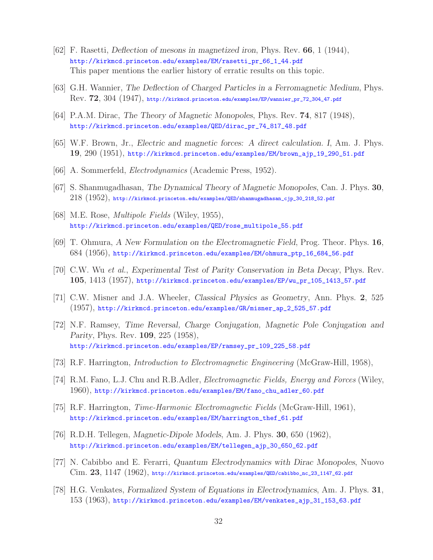- [62] F. Rasetti, *Deflection of mesons in magnetized iron*, Phys. Rev. **66**, 1 (1944), http://kirkmcd.princeton.edu/examples/EM/rasetti\_pr\_66\_1\_44.pdf This paper mentions the earlier history of erratic results on this topic.
- [63] G.H. Wannier, *The Deflection of Charged Particles in a Ferromagnetic Medium*, Phys. Rev. **72**, 304 (1947), http://kirkmcd.princeton.edu/examples/EP/wannier\_pr\_72\_304\_47.pdf
- [64] P.A.M. Dirac, *The Theory of Magnetic Monopoles*, Phys. Rev. **74**, 817 (1948), http://kirkmcd.princeton.edu/examples/QED/dirac\_pr\_74\_817\_48.pdf
- [65] W.F. Brown, Jr., *Electric and magnetic forces: A direct calculation. I*, Am. J. Phys. **19**, 290 (1951), http://kirkmcd.princeton.edu/examples/EM/brown\_ajp\_19\_290\_51.pdf
- [66] A. Sommerfeld, *Electrodynamics* (Academic Press, 1952).
- [67] S. Shanmugadhasan, *The Dynamical Theory of Magnetic Monopoles*, Can. J. Phys. **30**, 218 (1952), http://kirkmcd.princeton.edu/examples/QED/shanmugadhasan\_cjp\_30\_218\_52.pdf
- [68] M.E. Rose, *Multipole Fields* (Wiley, 1955), http://kirkmcd.princeton.edu/examples/QED/rose\_multipole\_55.pdf
- [69] T. Ohmura, *A New Formulation on the Electromagnetic Field*, Prog. Theor. Phys. **16**, 684 (1956), http://kirkmcd.princeton.edu/examples/EM/ohmura\_ptp\_16\_684\_56.pdf
- [70] C.W. Wu *et al.*, *Experimental Test of Parity Conservation in Beta Decay*, Phys. Rev. **105**, 1413 (1957), http://kirkmcd.princeton.edu/examples/EP/wu\_pr\_105\_1413\_57.pdf
- [71] C.W. Misner and J.A. Wheeler, *Classical Physics as Geometry*, Ann. Phys. **2**, 525 (1957), http://kirkmcd.princeton.edu/examples/GR/misner\_ap\_2\_525\_57.pdf
- [72] N.F. Ramsey, *Time Reversal, Charge Conjugation, Magnetic Pole Conjugation and Parity*, Phys. Rev. **109**, 225 (1958), http://kirkmcd.princeton.edu/examples/EP/ramsey\_pr\_109\_225\_58.pdf
- [73] R.F. Harrington, *Introduction to Electromagnetic Engineering* (McGraw-Hill, 1958),
- [74] R.M. Fano, L.J. Chu and R.B.Adler, *Electromagnetic Fields, Energy and Forces* (Wiley, 1960), http://kirkmcd.princeton.edu/examples/EM/fano\_chu\_adler\_60.pdf
- [75] R.F. Harrington, *Time-Harmonic Electromagnetic Fields* (McGraw-Hill, 1961), http://kirkmcd.princeton.edu/examples/EM/harrington\_thef\_61.pdf
- [76] R.D.H. Tellegen, *Magnetic-Dipole Models*, Am. J. Phys. **30**, 650 (1962), http://kirkmcd.princeton.edu/examples/EM/tellegen\_ajp\_30\_650\_62.pdf
- [77] N. Cabibbo and E. Ferarri, *Quantum Electrodynamics with Dirac Monopoles*, Nuovo Cim. **23**, 1147 (1962), http://kirkmcd.princeton.edu/examples/QED/cabibbo\_nc\_23\_1147\_62.pdf
- [78] H.G. Venkates, *Formalized System of Equations in Electrodynamics*, Am. J. Phys. **31**, 153 (1963), http://kirkmcd.princeton.edu/examples/EM/venkates\_ajp\_31\_153\_63.pdf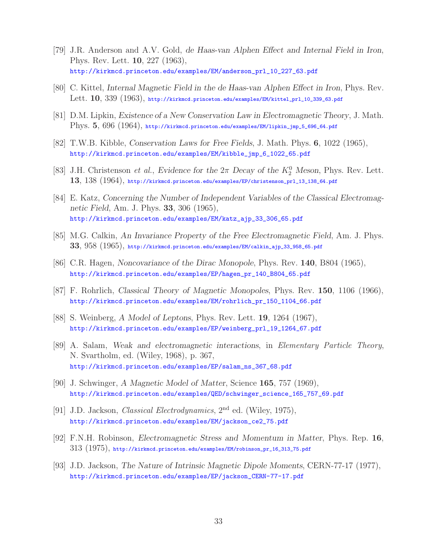- [79] J.R. Anderson and A.V. Gold, *de Haas-van Alphen Effect and Internal Field in Iron*, Phys. Rev. Lett. **10**, 227 (1963), http://kirkmcd.princeton.edu/examples/EM/anderson\_prl\_10\_227\_63.pdf
- [80] C. Kittel, *Internal Magnetic Field in the de Haas-van Alphen Effect in Iron*, Phys. Rev. Lett. **10**, 339 (1963), http://kirkmcd.princeton.edu/examples/EM/kittel\_prl\_10\_339\_63.pdf
- [81] D.M. Lipkin, *Existence of a New Conservation Law in Electromagnetic Theory*, J. Math. Phys. **5**, 696 (1964), http://kirkmcd.princeton.edu/examples/EM/lipkin\_jmp\_5\_696\_64.pdf
- [82] T.W.B. Kibble, *Conservation Laws for Free Fields*, J. Math. Phys. **6**, 1022 (1965), http://kirkmcd.princeton.edu/examples/EM/kibble\_jmp\_6\_1022\_65.pdf
- [83] J.H. Christenson *et al.*, *Evidence for the*  $2\pi$  *Decay of the*  $K_2^0$  *Meson*, Phys. Rev. Lett. **13**, 138 (1964), http://kirkmcd.princeton.edu/examples/EP/christenson\_prl\_13\_138\_64.pdf
- [84] E. Katz, *Concerning the Number of Independent Variables of the Classical Electromagnetic Field*, Am. J. Phys. **33**, 306 (1965), http://kirkmcd.princeton.edu/examples/EM/katz\_ajp\_33\_306\_65.pdf
- [85] M.G. Calkin, *An Invariance Property of the Free Electromagnetic Field*, Am. J. Phys. **33**, 958 (1965), http://kirkmcd.princeton.edu/examples/EM/calkin\_ajp\_33\_958\_65.pdf
- [86] C.R. Hagen, *Noncovariance of the Dirac Monopole*, Phys. Rev. **140**, B804 (1965), http://kirkmcd.princeton.edu/examples/EP/hagen\_pr\_140\_B804\_65.pdf
- [87] F. Rohrlich, *Classical Theory of Magnetic Monopoles*, Phys. Rev. **150**, 1106 (1966), http://kirkmcd.princeton.edu/examples/EM/rohrlich\_pr\_150\_1104\_66.pdf
- [88] S. Weinberg, *A Model of Leptons*, Phys. Rev. Lett. **19**, 1264 (1967), http://kirkmcd.princeton.edu/examples/EP/weinberg\_prl\_19\_1264\_67.pdf
- [89] A. Salam, *Weak and electromagnetic interactions*, in *Elementary Particle Theory*, N. Svartholm, ed. (Wiley, 1968), p. 367, http://kirkmcd.princeton.edu/examples/EP/salam\_ns\_367\_68.pdf
- [90] J. Schwinger, *A Magnetic Model of Matter*, Science **165**, 757 (1969), http://kirkmcd.princeton.edu/examples/QED/schwinger\_science\_165\_757\_69.pdf
- [91] J.D. Jackson, *Classical Electrodynamics*, 2nd ed. (Wiley, 1975), http://kirkmcd.princeton.edu/examples/EM/jackson\_ce2\_75.pdf
- [92] F.N.H. Robinson, *Electromagnetic Stress and Momentum in Matter*, Phys. Rep. **16**,  $313$   $(1975)$ , http://kirkmcd.princeton.edu/examples/EM/robinson\_pr\_16\_313\_75.pdf
- [93] J.D. Jackson, *The Nature of Intrinsic Magnetic Dipole Moments*, CERN-77-17 (1977), http://kirkmcd.princeton.edu/examples/EP/jackson\_CERN-77-17.pdf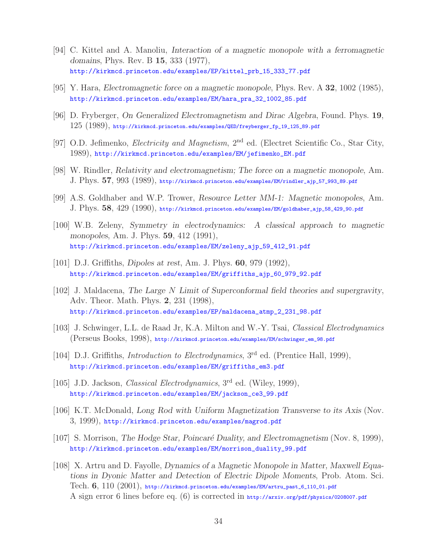- [94] C. Kittel and A. Manoliu, *Interaction of a magnetic monopole with a ferromagnetic domains*, Phys. Rev. B **15**, 333 (1977), http://kirkmcd.princeton.edu/examples/EP/kittel\_prb\_15\_333\_77.pdf
- [95] Y. Hara, *Electromagnetic force on a magnetic monopole*, Phys. Rev. A **32**, 1002 (1985), http://kirkmcd.princeton.edu/examples/EM/hara\_pra\_32\_1002\_85.pdf
- [96] D. Fryberger, *On Generalized Electromagnetism and Dirac Algebra*, Found. Phys. **19**,  $125$   $(1989)$ , http://kirkmcd.princeton.edu/examples/QED/freyberger\_fp\_19\_125\_89.pdf
- [97] O.D. Jefimenko, *Electricity and Magnetism*, 2nd ed. (Electret Scientific Co., Star City, 1989), http://kirkmcd.princeton.edu/examples/EM/jefimenko\_EM.pdf
- [98] W. Rindler, *Relativity and electromagnetism; The force on a magnetic monopole*, Am. J. Phys. **57**, 993 (1989), http://kirkmcd.princeton.edu/examples/EM/rindler\_ajp\_57\_993\_89.pdf
- [99] A.S. Goldhaber and W.P. Trower, *Resource Letter MM-1: Magnetic monopoles*, Am. J. Phys. **58**, 429 (1990), http://kirkmcd.princeton.edu/examples/EM/goldhaber\_ajp\_58\_429\_90.pdf
- [100] W.B. Zeleny, *Symmetry in electrodynamics: A classical approach to magnetic monopoles*, Am. J. Phys. **59**, 412 (1991), http://kirkmcd.princeton.edu/examples/EM/zeleny\_ajp\_59\_412\_91.pdf
- [101] D.J. Griffiths, *Dipoles at rest*, Am. J. Phys. **60**, 979 (1992), http://kirkmcd.princeton.edu/examples/EM/griffiths\_ajp\_60\_979\_92.pdf
- [102] J. Maldacena, *The Large* N *Limit of Superconformal field theories and supergravity*, Adv. Theor. Math. Phys. **2**, 231 (1998), http://kirkmcd.princeton.edu/examples/EP/maldacena\_atmp\_2\_231\_98.pdf
- [103] J. Schwinger, L.L. de Raad Jr, K.A. Milton and W.-Y. Tsai, *Classical Electrodynamics* (Perseus Books, 1998), http://kirkmcd.princeton.edu/examples/EM/schwinger\_em\_98.pdf
- [104] D.J. Griffiths, *Introduction to Electrodynamics*, 3<sup>rd</sup> ed. (Prentice Hall, 1999), http://kirkmcd.princeton.edu/examples/EM/griffiths\_em3.pdf
- [105] J.D. Jackson, *Classical Electrodynamics*, 3rd ed. (Wiley, 1999), http://kirkmcd.princeton.edu/examples/EM/jackson\_ce3\_99.pdf
- [106] K.T. McDonald, *Long Rod with Uniform Magnetization Transverse to its Axis* (Nov. 3, 1999), http://kirkmcd.princeton.edu/examples/magrod.pdf
- [107] S. Morrison, *The Hodge Star, Poincar´e Duality, and Electromagnetism* (Nov. 8, 1999), http://kirkmcd.princeton.edu/examples/EM/morrison\_duality\_99.pdf
- [108] X. Artru and D. Fayolle, *Dynamics of a Magnetic Monopole in Matter, Maxwell Equations in Dyonic Matter and Detection of Electric Dipole Moments*, Prob. Atom. Sci. Tech. **6**, 110 (2001), http://kirkmcd.princeton.edu/examples/EM/artru\_past\_6\_110\_01.pdf A sign error 6 lines before eq. (6) is corrected in http://arxiv.org/pdf/physics/0208007.pdf